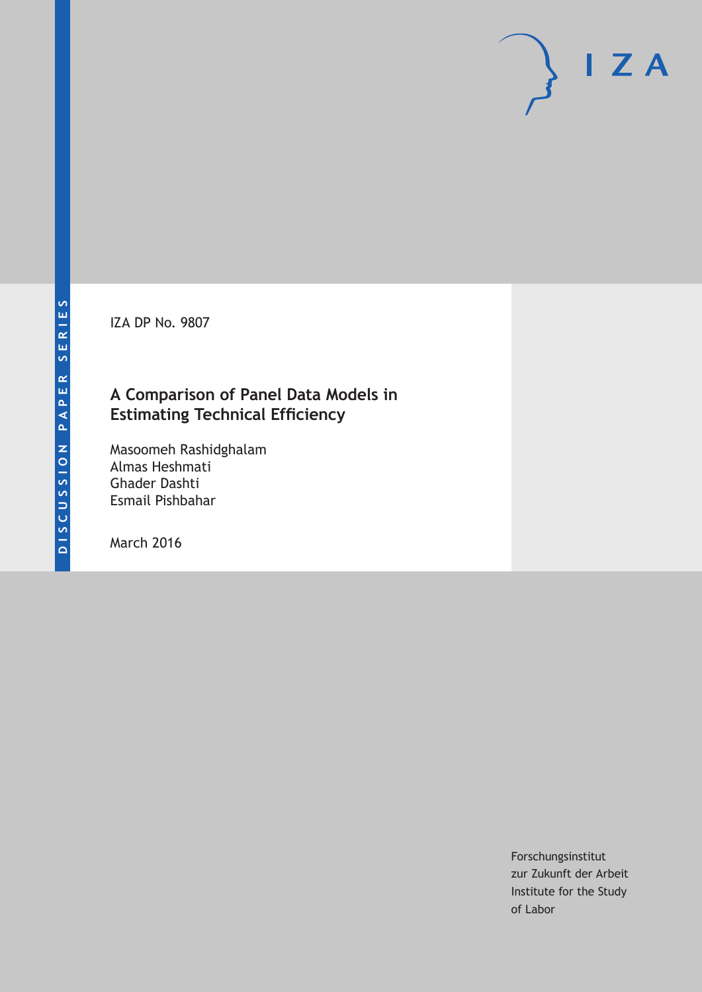IZA DP No. 9807

# **A Comparison of Panel Data Models in Estimating Technical Efficiency**

Masoomeh Rashidghalam Almas Heshmati Ghader Dashti Esmail Pishbahar

March 2016

Forschungsinstitut zur Zukunft der Arbeit Institute for the Study of Labor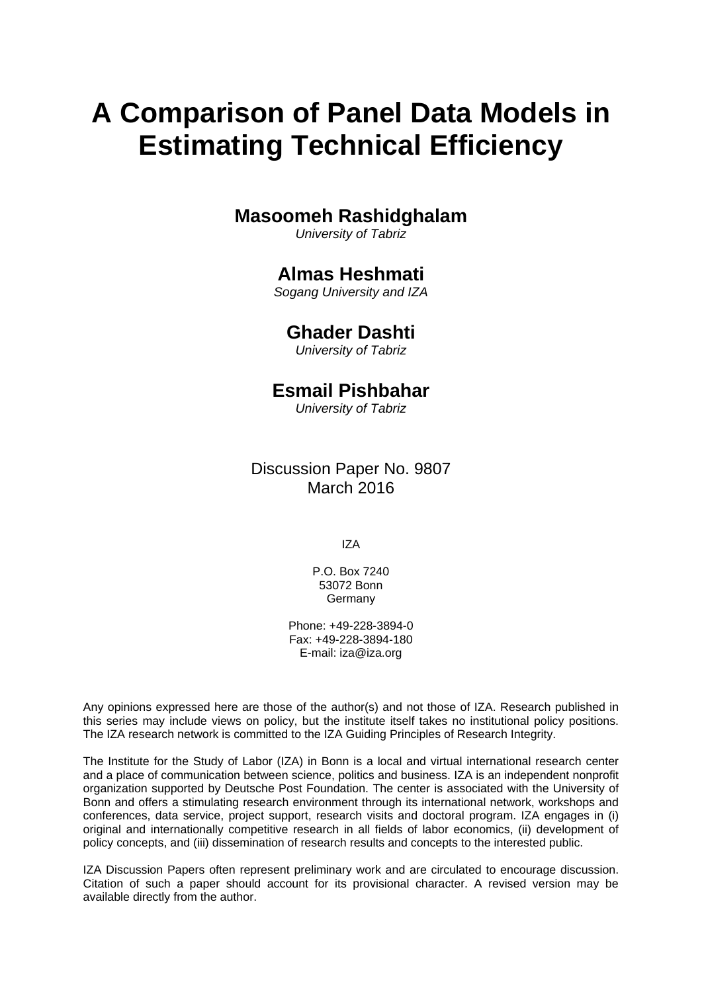# **A Comparison of Panel Data Models in Estimating Technical Efficiency**

# **Masoomeh Rashidghalam**

*University of Tabriz* 

# **Almas Heshmati**

*Sogang University and IZA* 

# **Ghader Dashti**

*University of Tabriz*

# **Esmail Pishbahar**

*University of Tabriz* 

Discussion Paper No. 9807 March 2016

IZA

P.O. Box 7240 53072 Bonn **Germany** 

Phone: +49-228-3894-0 Fax: +49-228-3894-180 E-mail: iza@iza.org

Any opinions expressed here are those of the author(s) and not those of IZA. Research published in this series may include views on policy, but the institute itself takes no institutional policy positions. The IZA research network is committed to the IZA Guiding Principles of Research Integrity.

The Institute for the Study of Labor (IZA) in Bonn is a local and virtual international research center and a place of communication between science, politics and business. IZA is an independent nonprofit organization supported by Deutsche Post Foundation. The center is associated with the University of Bonn and offers a stimulating research environment through its international network, workshops and conferences, data service, project support, research visits and doctoral program. IZA engages in (i) original and internationally competitive research in all fields of labor economics, (ii) development of policy concepts, and (iii) dissemination of research results and concepts to the interested public.

IZA Discussion Papers often represent preliminary work and are circulated to encourage discussion. Citation of such a paper should account for its provisional character. A revised version may be available directly from the author.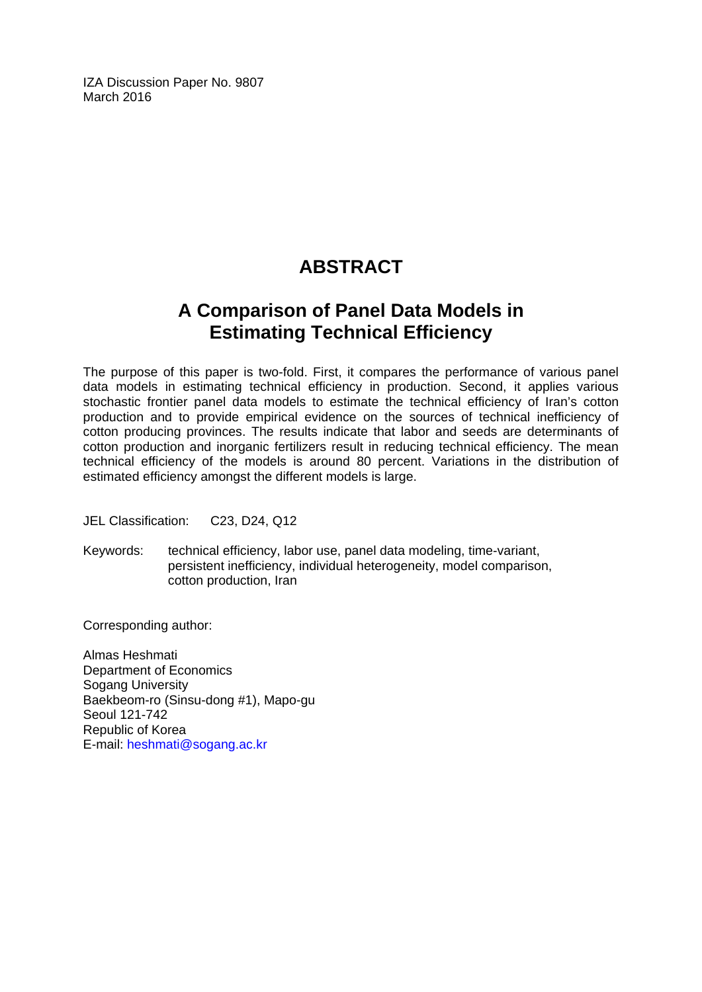IZA Discussion Paper No. 9807 March 2016

# **ABSTRACT**

# **A Comparison of Panel Data Models in Estimating Technical Efficiency**

The purpose of this paper is two-fold. First, it compares the performance of various panel data models in estimating technical efficiency in production. Second, it applies various stochastic frontier panel data models to estimate the technical efficiency of Iran's cotton production and to provide empirical evidence on the sources of technical inefficiency of cotton producing provinces. The results indicate that labor and seeds are determinants of cotton production and inorganic fertilizers result in reducing technical efficiency. The mean technical efficiency of the models is around 80 percent. Variations in the distribution of estimated efficiency amongst the different models is large.

JEL Classification: C23, D24, Q12

Keywords: technical efficiency, labor use, panel data modeling, time-variant, persistent inefficiency, individual heterogeneity, model comparison, cotton production, Iran

Corresponding author:

Almas Heshmati Department of Economics Sogang University Baekbeom-ro (Sinsu-dong #1), Mapo-gu Seoul 121-742 Republic of Korea E-mail: heshmati@sogang.ac.kr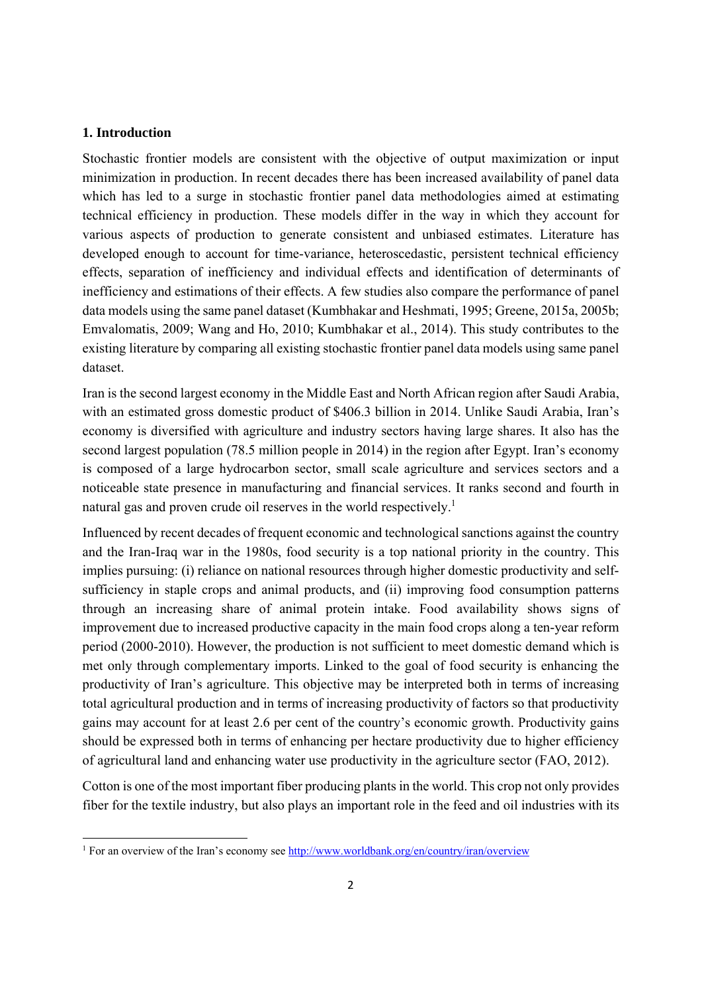### **1. Introduction**

Stochastic frontier models are consistent with the objective of output maximization or input minimization in production. In recent decades there has been increased availability of panel data which has led to a surge in stochastic frontier panel data methodologies aimed at estimating technical efficiency in production. These models differ in the way in which they account for various aspects of production to generate consistent and unbiased estimates. Literature has developed enough to account for time-variance, heteroscedastic, persistent technical efficiency effects, separation of inefficiency and individual effects and identification of determinants of inefficiency and estimations of their effects. A few studies also compare the performance of panel data models using the same panel dataset (Kumbhakar and Heshmati, 1995; Greene, 2015a, 2005b; Emvalomatis, 2009; Wang and Ho, 2010; Kumbhakar et al., 2014). This study contributes to the existing literature by comparing all existing stochastic frontier panel data models using same panel dataset.

Iran is the second largest economy in the Middle East and North African region after Saudi Arabia, with an estimated gross domestic product of \$406.3 billion in 2014. Unlike Saudi Arabia, Iran's economy is diversified with agriculture and industry sectors having large shares. It also has the second largest population (78.5 million people in 2014) in the region after Egypt. Iran's economy is composed of a large hydrocarbon sector, small scale agriculture and services sectors and a noticeable state presence in manufacturing and financial services. It ranks second and fourth in natural gas and proven crude oil reserves in the world respectively.<sup>1</sup>

Influenced by recent decades of frequent economic and technological sanctions against the country and the Iran-Iraq war in the 1980s, food security is a top national priority in the country. This implies pursuing: (i) reliance on national resources through higher domestic productivity and selfsufficiency in staple crops and animal products, and (ii) improving food consumption patterns through an increasing share of animal protein intake. Food availability shows signs of improvement due to increased productive capacity in the main food crops along a ten-year reform period (2000-2010). However, the production is not sufficient to meet domestic demand which is met only through complementary imports. Linked to the goal of food security is enhancing the productivity of Iran's agriculture. This objective may be interpreted both in terms of increasing total agricultural production and in terms of increasing productivity of factors so that productivity gains may account for at least 2.6 per cent of the country's economic growth. Productivity gains should be expressed both in terms of enhancing per hectare productivity due to higher efficiency of agricultural land and enhancing water use productivity in the agriculture sector (FAO, 2012).

Cotton is one of the most important fiber producing plants in the world. This crop not only provides fiber for the textile industry, but also plays an important role in the feed and oil industries with its

<sup>&</sup>lt;sup>1</sup> For an overview of the Iran's economy see <u>http://www.worldbank.org/en/country/iran/overview</u>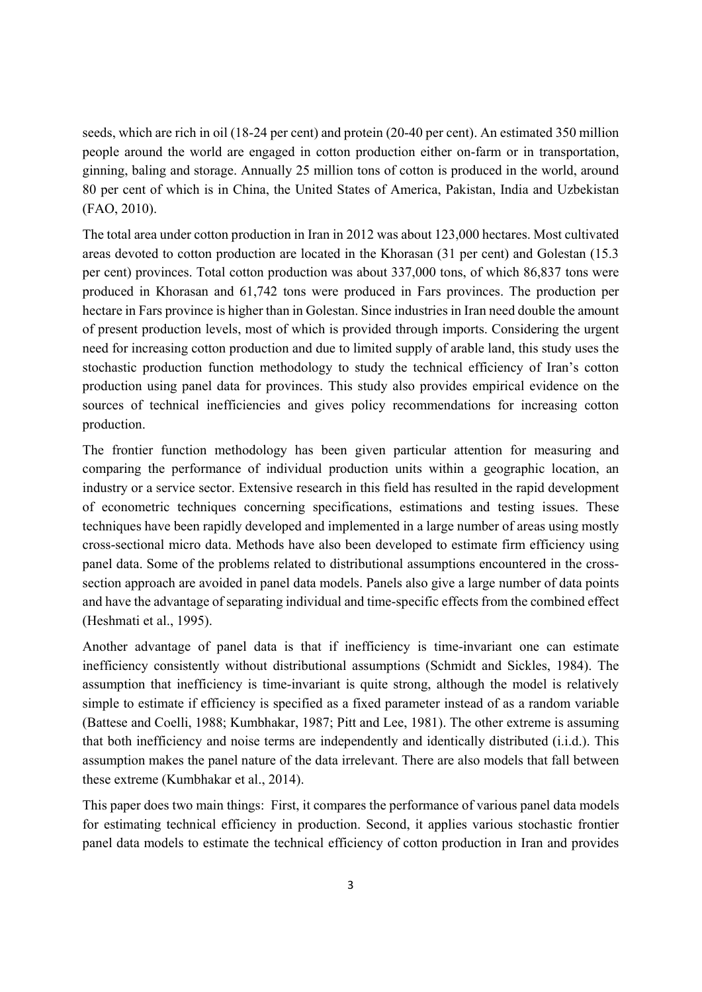seeds, which are rich in oil (18-24 per cent) and protein (20-40 per cent). An estimated 350 million people around the world are engaged in cotton production either on-farm or in transportation, ginning, baling and storage. Annually 25 million tons of cotton is produced in the world, around 80 per cent of which is in China, the United States of America, Pakistan, India and Uzbekistan (FAO, 2010).

The total area under cotton production in Iran in 2012 was about 123,000 hectares. Most cultivated areas devoted to cotton production are located in the Khorasan (31 per cent) and Golestan (15.3 per cent) provinces. Total cotton production was about 337,000 tons, of which 86,837 tons were produced in Khorasan and 61,742 tons were produced in Fars provinces. The production per hectare in Fars province is higher than in Golestan. Since industries in Iran need double the amount of present production levels, most of which is provided through imports. Considering the urgent need for increasing cotton production and due to limited supply of arable land, this study uses the stochastic production function methodology to study the technical efficiency of Iran's cotton production using panel data for provinces. This study also provides empirical evidence on the sources of technical inefficiencies and gives policy recommendations for increasing cotton production.

The frontier function methodology has been given particular attention for measuring and comparing the performance of individual production units within a geographic location, an industry or a service sector. Extensive research in this field has resulted in the rapid development of econometric techniques concerning specifications, estimations and testing issues. These techniques have been rapidly developed and implemented in a large number of areas using mostly cross-sectional micro data. Methods have also been developed to estimate firm efficiency using panel data. Some of the problems related to distributional assumptions encountered in the crosssection approach are avoided in panel data models. Panels also give a large number of data points and have the advantage of separating individual and time-specific effects from the combined effect (Heshmati et al., 1995).

Another advantage of panel data is that if inefficiency is time-invariant one can estimate inefficiency consistently without distributional assumptions (Schmidt and Sickles, 1984). The assumption that inefficiency is time-invariant is quite strong, although the model is relatively simple to estimate if efficiency is specified as a fixed parameter instead of as a random variable (Battese and Coelli, 1988; Kumbhakar, 1987; Pitt and Lee, 1981). The other extreme is assuming that both inefficiency and noise terms are independently and identically distributed (i.i.d.). This assumption makes the panel nature of the data irrelevant. There are also models that fall between these extreme (Kumbhakar et al., 2014).

This paper does two main things: First, it compares the performance of various panel data models for estimating technical efficiency in production. Second, it applies various stochastic frontier panel data models to estimate the technical efficiency of cotton production in Iran and provides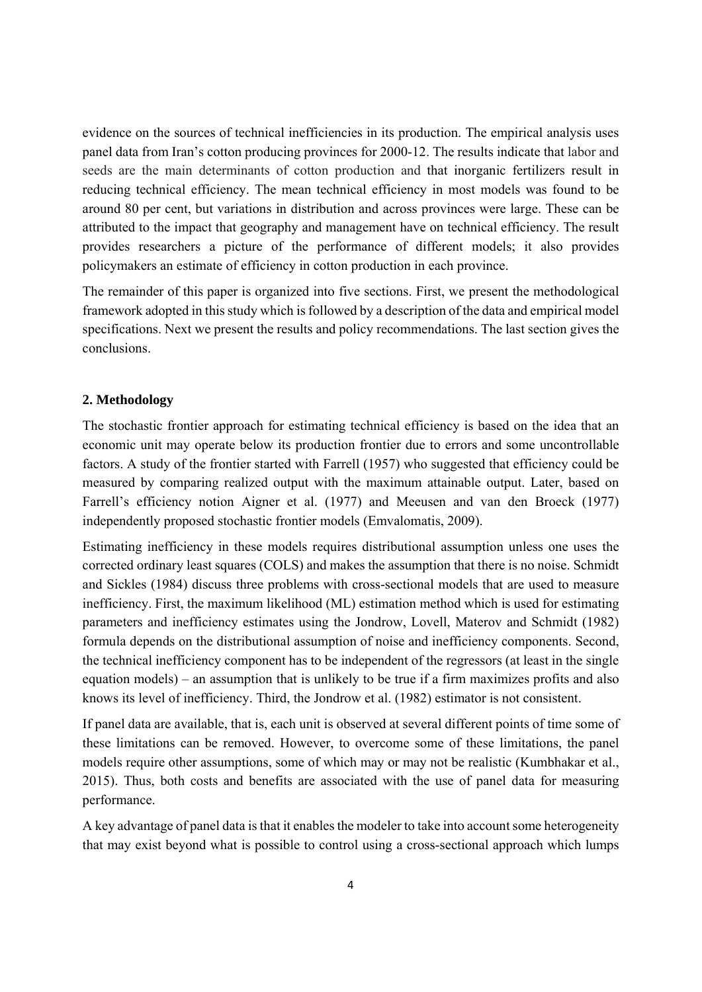evidence on the sources of technical inefficiencies in its production. The empirical analysis uses panel data from Iran's cotton producing provinces for 2000-12. The results indicate that labor and seeds are the main determinants of cotton production and that inorganic fertilizers result in reducing technical efficiency. The mean technical efficiency in most models was found to be around 80 per cent, but variations in distribution and across provinces were large. These can be attributed to the impact that geography and management have on technical efficiency. The result provides researchers a picture of the performance of different models; it also provides policymakers an estimate of efficiency in cotton production in each province.

The remainder of this paper is organized into five sections. First, we present the methodological framework adopted in this study which is followed by a description of the data and empirical model specifications. Next we present the results and policy recommendations. The last section gives the conclusions.

### **2. Methodology**

The stochastic frontier approach for estimating technical efficiency is based on the idea that an economic unit may operate below its production frontier due to errors and some uncontrollable factors. A study of the frontier started with Farrell (1957) who suggested that efficiency could be measured by comparing realized output with the maximum attainable output. Later, based on Farrell's efficiency notion Aigner et al. (1977) and Meeusen and van den Broeck (1977) independently proposed stochastic frontier models (Emvalomatis, 2009).

Estimating inefficiency in these models requires distributional assumption unless one uses the corrected ordinary least squares (COLS) and makes the assumption that there is no noise. Schmidt and Sickles (1984) discuss three problems with cross-sectional models that are used to measure inefficiency. First, the maximum likelihood (ML) estimation method which is used for estimating parameters and inefficiency estimates using the Jondrow, Lovell, Materov and Schmidt (1982) formula depends on the distributional assumption of noise and inefficiency components. Second, the technical inefficiency component has to be independent of the regressors (at least in the single equation models) – an assumption that is unlikely to be true if a firm maximizes profits and also knows its level of inefficiency. Third, the Jondrow et al. (1982) estimator is not consistent.

If panel data are available, that is, each unit is observed at several different points of time some of these limitations can be removed. However, to overcome some of these limitations, the panel models require other assumptions, some of which may or may not be realistic (Kumbhakar et al., 2015). Thus, both costs and benefits are associated with the use of panel data for measuring performance.

A key advantage of panel data is that it enables the modeler to take into account some heterogeneity that may exist beyond what is possible to control using a cross-sectional approach which lumps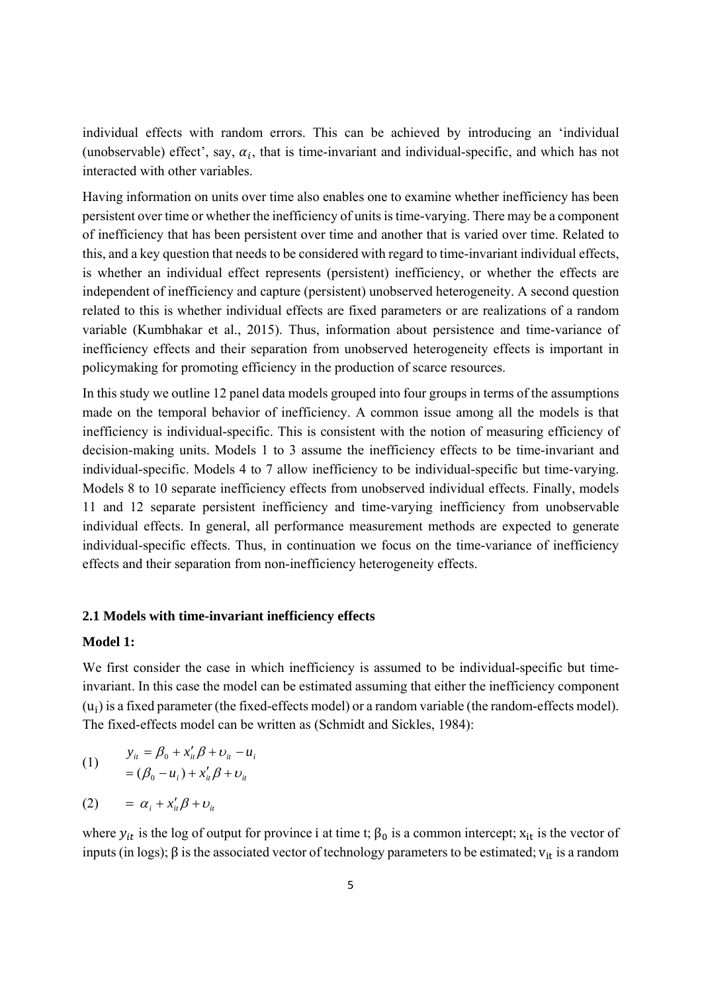individual effects with random errors. This can be achieved by introducing an 'individual (unobservable) effect', say,  $\alpha_i$ , that is time-invariant and individual-specific, and which has not interacted with other variables.

Having information on units over time also enables one to examine whether inefficiency has been persistent over time or whether the inefficiency of units is time-varying. There may be a component of inefficiency that has been persistent over time and another that is varied over time. Related to this, and a key question that needs to be considered with regard to time-invariant individual effects, is whether an individual effect represents (persistent) inefficiency, or whether the effects are independent of inefficiency and capture (persistent) unobserved heterogeneity. A second question related to this is whether individual effects are fixed parameters or are realizations of a random variable (Kumbhakar et al., 2015). Thus, information about persistence and time-variance of inefficiency effects and their separation from unobserved heterogeneity effects is important in policymaking for promoting efficiency in the production of scarce resources.

In this study we outline 12 panel data models grouped into four groups in terms of the assumptions made on the temporal behavior of inefficiency. A common issue among all the models is that inefficiency is individual-specific. This is consistent with the notion of measuring efficiency of decision-making units. Models 1 to 3 assume the inefficiency effects to be time-invariant and individual-specific. Models 4 to 7 allow inefficiency to be individual-specific but time-varying. Models 8 to 10 separate inefficiency effects from unobserved individual effects. Finally, models 11 and 12 separate persistent inefficiency and time-varying inefficiency from unobservable individual effects. In general, all performance measurement methods are expected to generate individual-specific effects. Thus, in continuation we focus on the time-variance of inefficiency effects and their separation from non-inefficiency heterogeneity effects.

# **2.1 Models with time-invariant inefficiency effects**

# **Model 1:**

We first consider the case in which inefficiency is assumed to be individual-specific but timeinvariant. In this case the model can be estimated assuming that either the inefficiency component  $(u_i)$  is a fixed parameter (the fixed-effects model) or a random variable (the random-effects model). The fixed-effects model can be written as (Schmidt and Sickles, 1984):

(1) 
$$
y_{ii} = \beta_0 + x_{ii}' \beta + v_{ii} - u_i
$$

$$
= (\beta_0 - u_i) + x_{ii}' \beta + v_{ii}
$$

$$
(2) \qquad = \alpha_i + x'_{it} \beta + v_{it}
$$

where  $y_{it}$  is the log of output for province i at time t;  $\beta_0$  is a common intercept;  $x_{it}$  is the vector of inputs (in logs);  $\beta$  is the associated vector of technology parameters to be estimated;  $v_{it}$  is a random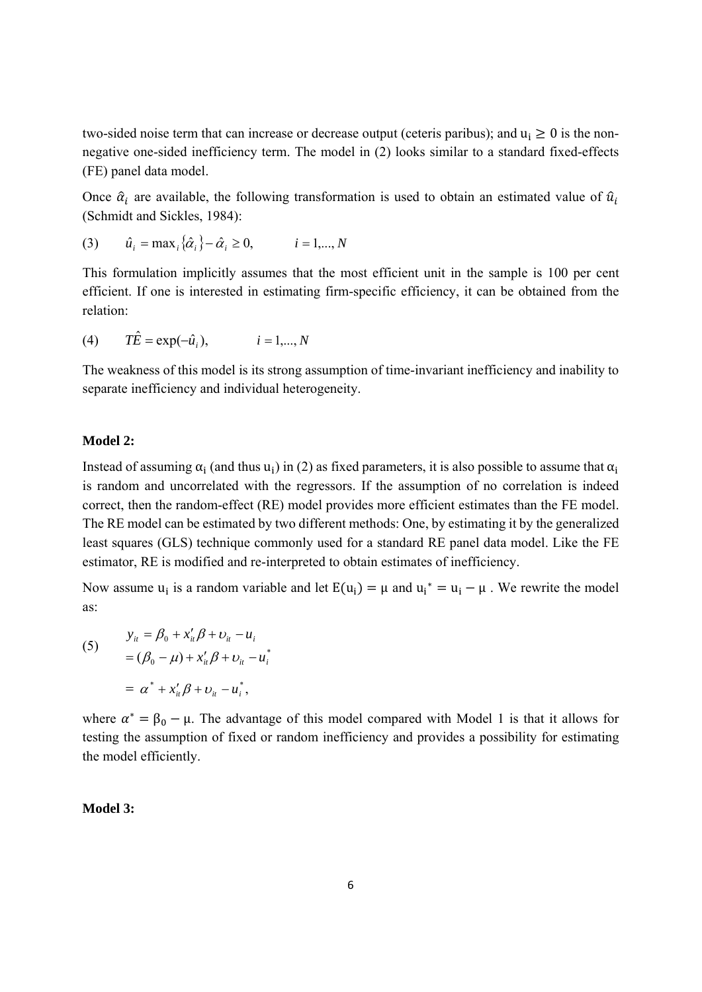two-sided noise term that can increase or decrease output (ceteris paribus); and  $u_i \ge 0$  is the nonnegative one-sided inefficiency term. The model in (2) looks similar to a standard fixed-effects (FE) panel data model.

Once  $\hat{\alpha}_i$  are available, the following transformation is used to obtain an estimated value of  $\hat{u}_i$ (Schmidt and Sickles, 1984):

(3) 
$$
\hat{u}_i = \max_i {\hat{\alpha}_i} - \hat{\alpha}_i \ge 0, \qquad i = 1,..., N
$$

This formulation implicitly assumes that the most efficient unit in the sample is 100 per cent efficient. If one is interested in estimating firm-specific efficiency, it can be obtained from the relation:

(4) 
$$
T\hat{E} = \exp(-\hat{u}_i), \qquad i = 1,..., N
$$

The weakness of this model is its strong assumption of time-invariant inefficiency and inability to separate inefficiency and individual heterogeneity.

# **Model 2:**

Instead of assuming  $\alpha_i$  (and thus u<sub>i</sub>) in (2) as fixed parameters, it is also possible to assume that  $\alpha_i$ is random and uncorrelated with the regressors. If the assumption of no correlation is indeed correct, then the random-effect (RE) model provides more efficient estimates than the FE model. The RE model can be estimated by two different methods: One, by estimating it by the generalized least squares (GLS) technique commonly used for a standard RE panel data model. Like the FE estimator, RE is modified and re-interpreted to obtain estimates of inefficiency.

Now assume  $u_i$  is a random variable and let  $E(u_i) = \mu$  and  $u_i^* = u_i - \mu$ . We rewrite the model as:

(5) 
$$
y_{it} = \beta_0 + x'_{it}\beta + v_{it} - u_i
$$

$$
= (\beta_0 - \mu) + x'_{it}\beta + v_{it} - u_i^*
$$

$$
= \alpha^* + x'_{it}\beta + v_{it} - u_i^*,
$$

where  $\alpha^* = \beta_0 - \mu$ . The advantage of this model compared with Model 1 is that it allows for testing the assumption of fixed or random inefficiency and provides a possibility for estimating the model efficiently.

### **Model 3:**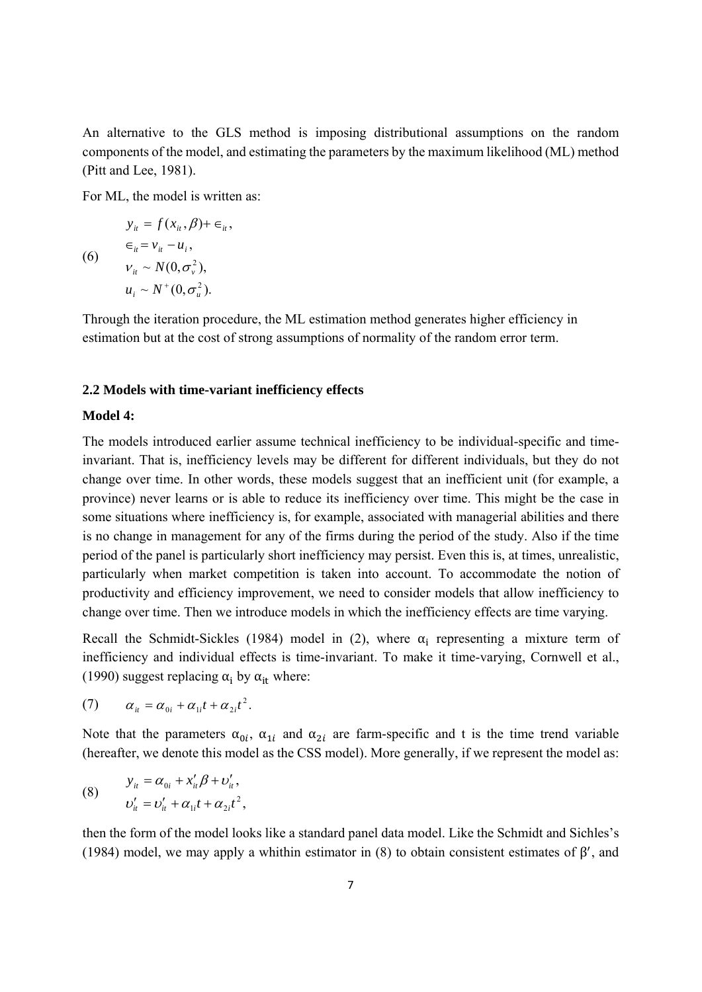An alternative to the GLS method is imposing distributional assumptions on the random components of the model, and estimating the parameters by the maximum likelihood (ML) method (Pitt and Lee, 1981).

For ML, the model is written as:

$$
y_{ii} = f(x_{ii}, \beta) + \epsilon_{ii},
$$
  
\n
$$
\epsilon_{ii} = v_{ii} - u_{i},
$$
  
\n
$$
v_{ii} \sim N(0, \sigma_v^2),
$$
  
\n
$$
u_i \sim N^+(0, \sigma_u^2).
$$

Through the iteration procedure, the ML estimation method generates higher efficiency in estimation but at the cost of strong assumptions of normality of the random error term.

#### **2.2 Models with time-variant inefficiency effects**

#### **Model 4:**

The models introduced earlier assume technical inefficiency to be individual-specific and timeinvariant. That is, inefficiency levels may be different for different individuals, but they do not change over time. In other words, these models suggest that an inefficient unit (for example, a province) never learns or is able to reduce its inefficiency over time. This might be the case in some situations where inefficiency is, for example, associated with managerial abilities and there is no change in management for any of the firms during the period of the study. Also if the time period of the panel is particularly short inefficiency may persist. Even this is, at times, unrealistic, particularly when market competition is taken into account. To accommodate the notion of productivity and efficiency improvement, we need to consider models that allow inefficiency to change over time. Then we introduce models in which the inefficiency effects are time varying.

Recall the Schmidt-Sickles (1984) model in (2), where  $\alpha_i$  representing a mixture term of inefficiency and individual effects is time-invariant. To make it time-varying, Cornwell et al., (1990) suggest replacing  $\alpha_i$  by  $\alpha_{i}$  where:

$$
(7) \qquad \alpha_{ii} = \alpha_{0i} + \alpha_{1i}t + \alpha_{2i}t^2.
$$

Note that the parameters  $\alpha_{0i}$ ,  $\alpha_{1i}$  and  $\alpha_{2i}$  are farm-specific and t is the time trend variable (hereafter, we denote this model as the CSS model). More generally, if we represent the model as:

(8) 
$$
y_{it} = \alpha_{0i} + x_{it}' \beta + v_{it}',
$$

$$
v_{it}' = v_{it}' + \alpha_{1i}t + \alpha_{2i}t^2,
$$

then the form of the model looks like a standard panel data model. Like the Schmidt and Sichles's (1984) model, we may apply a whithin estimator in (8) to obtain consistent estimates of  $\beta'$ , and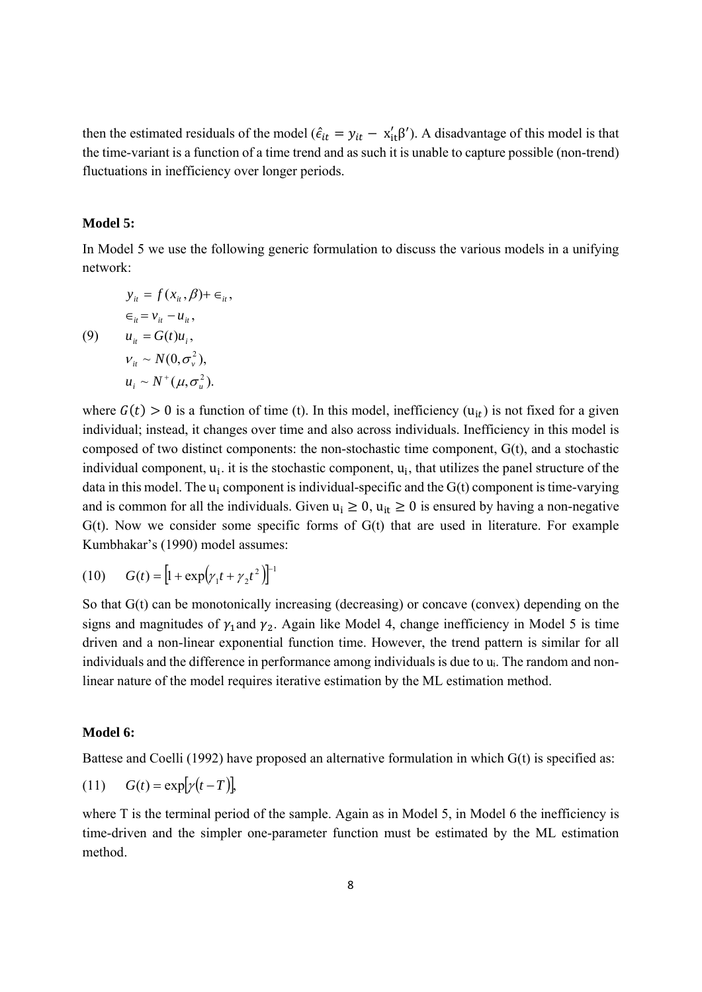then the estimated residuals of the model ( $\hat{\epsilon}_{it} = y_{it} - x'_{it} \beta'$ ). A disadvantage of this model is that the time-variant is a function of a time trend and as such it is unable to capture possible (non-trend) fluctuations in inefficiency over longer periods.

#### **Model 5:**

In Model 5 we use the following generic formulation to discuss the various models in a unifying network:

$$
y_{ii} = f(x_{ii}, \beta) + \epsilon_{ii},
$$
  
\n
$$
\epsilon_{ii} = v_{ii} - u_{ii},
$$
  
\n(9) 
$$
u_{ii} = G(t)u_i,
$$
  
\n
$$
v_{ii} \sim N(0, \sigma_v^2),
$$
  
\n
$$
u_i \sim N^+(\mu, \sigma_u^2).
$$

where  $G(t) > 0$  is a function of time (t). In this model, inefficiency ( $u_{it}$ ) is not fixed for a given individual; instead, it changes over time and also across individuals. Inefficiency in this model is composed of two distinct components: the non-stochastic time component, G(t), and a stochastic individual component,  $u_i$ , it is the stochastic component,  $u_i$ , that utilizes the panel structure of the data in this model. The  $u_i$  component is individual-specific and the  $G(t)$  component is time-varying and is common for all the individuals. Given  $u_i \ge 0$ ,  $u_{it} \ge 0$  is ensured by having a non-negative  $G(t)$ . Now we consider some specific forms of  $G(t)$  that are used in literature. For example Kumbhakar's (1990) model assumes:

(10) 
$$
G(t) = [1 + \exp(\gamma_1 t + \gamma_2 t^2)]^{-1}
$$

So that G(t) can be monotonically increasing (decreasing) or concave (convex) depending on the signs and magnitudes of  $\gamma_1$  and  $\gamma_2$ . Again like Model 4, change inefficiency in Model 5 is time driven and a non-linear exponential function time. However, the trend pattern is similar for all individuals and the difference in performance among individuals is due to ui. The random and nonlinear nature of the model requires iterative estimation by the ML estimation method.

### **Model 6:**

Battese and Coelli (1992) have proposed an alternative formulation in which G(t) is specified as:

$$
(11) \tG(t) = \exp[\gamma(t - T)],
$$

where T is the terminal period of the sample. Again as in Model 5, in Model 6 the inefficiency is time-driven and the simpler one-parameter function must be estimated by the ML estimation method.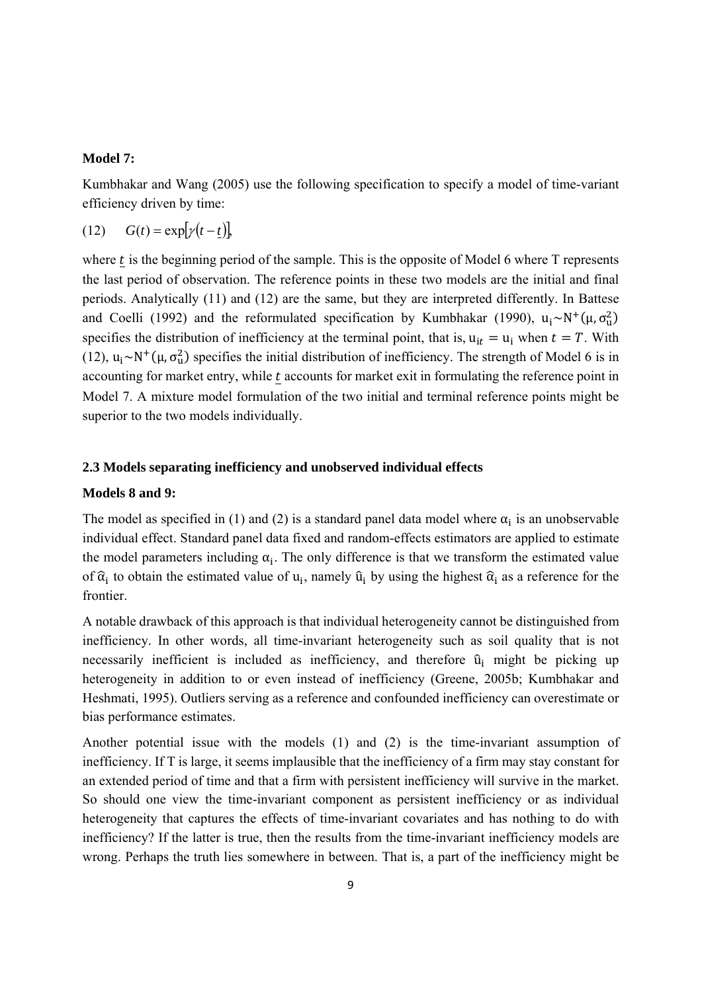### **Model 7:**

Kumbhakar and Wang (2005) use the following specification to specify a model of time-variant efficiency driven by time:

$$
(12) \tG(t) = \exp[\gamma(t - \underline{t})],
$$

where  $t$  is the beginning period of the sample. This is the opposite of Model 6 where  $T$  represents the last period of observation. The reference points in these two models are the initial and final periods. Analytically (11) and (12) are the same, but they are interpreted differently. In Battese and Coelli (1992) and the reformulated specification by Kumbhakar (1990),  $u_i \sim N^+(\mu, \sigma_u^2)$ specifies the distribution of inefficiency at the terminal point, that is,  $u_{it} = u_i$  when  $t = T$ . With (12),  $u_i \sim N^+(\mu, \sigma_u^2)$  specifies the initial distribution of inefficiency. The strength of Model 6 is in accounting for market entry, while  $t$  accounts for market exit in formulating the reference point in Model 7. A mixture model formulation of the two initial and terminal reference points might be superior to the two models individually.

### **2.3 Models separating inefficiency and unobserved individual effects**

#### **Models 8 and 9:**

The model as specified in (1) and (2) is a standard panel data model where  $\alpha_i$  is an unobservable individual effect. Standard panel data fixed and random-effects estimators are applied to estimate the model parameters including  $\alpha_i$ . The only difference is that we transform the estimated value of  $\hat{\alpha}_i$  to obtain the estimated value of u<sub>i</sub>, namely  $\hat{u}_i$  by using the highest  $\hat{\alpha}_i$  as a reference for the frontier.

A notable drawback of this approach is that individual heterogeneity cannot be distinguished from inefficiency. In other words, all time-invariant heterogeneity such as soil quality that is not necessarily inefficient is included as inefficiency, and therefore  $\hat{u}_i$  might be picking up heterogeneity in addition to or even instead of inefficiency (Greene, 2005b; Kumbhakar and Heshmati, 1995). Outliers serving as a reference and confounded inefficiency can overestimate or bias performance estimates.

Another potential issue with the models (1) and (2) is the time-invariant assumption of inefficiency. If T is large, it seems implausible that the inefficiency of a firm may stay constant for an extended period of time and that a firm with persistent inefficiency will survive in the market. So should one view the time-invariant component as persistent inefficiency or as individual heterogeneity that captures the effects of time-invariant covariates and has nothing to do with inefficiency? If the latter is true, then the results from the time-invariant inefficiency models are wrong. Perhaps the truth lies somewhere in between. That is, a part of the inefficiency might be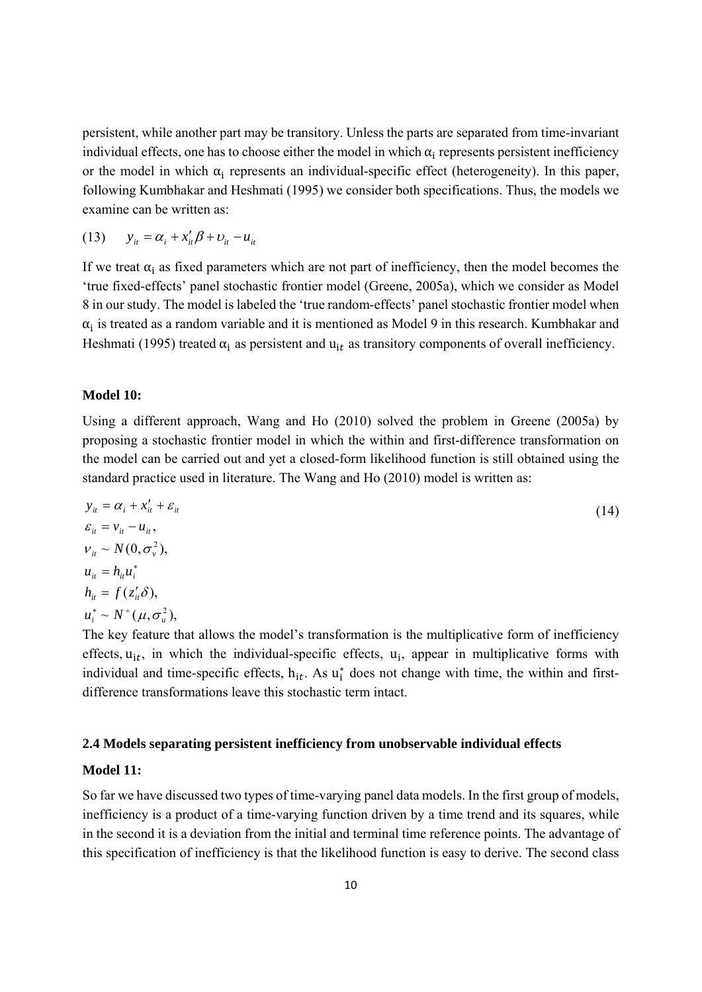persistent, while another part may be transitory. Unless the parts are separated from time-invariant individual effects, one has to choose either the model in which  $\alpha_i$  represents persistent inefficiency or the model in which  $\alpha_i$  represents an individual-specific effect (heterogeneity). In this paper, following Kumbhakar and Heshmati (1995) we consider both specifications. Thus, the models we examine can be written as:

$$
(13) \qquad y_{it} = \alpha_i + x_{it}' \beta + v_{it} - u_{it}
$$

If we treat  $\alpha_i$  as fixed parameters which are not part of inefficiency, then the model becomes the 'true fixed-effects' panel stochastic frontier model (Greene, 2005a), which we consider as Model 8 in our study. The model is labeled the 'true random-effects' panel stochastic frontier model when  $\alpha_i$  is treated as a random variable and it is mentioned as Model 9 in this research. Kumbhakar and Heshmati (1995) treated  $\alpha_i$  as persistent and  $u_{it}$  as transitory components of overall inefficiency.

# **Model 10:**

Using a different approach, Wang and Ho (2010) solved the problem in Greene (2005a) by proposing a stochastic frontier model in which the within and first-difference transformation on the model can be carried out and yet a closed-form likelihood function is still obtained using the standard practice used in literature. The Wang and Ho (2010) model is written as:

$$
y_{ii} = \alpha_i + x'_{ii} + \varepsilon_{ii}
$$
  
\n
$$
\varepsilon_{ii} = v_{ii} - u_{ii},
$$
  
\n
$$
v_{ii} \sim N(0, \sigma_v^2),
$$
  
\n
$$
u_{ii} = h_{ii}u_i^*
$$
  
\n
$$
h_{ii} = f(z'_{ii}\delta),
$$
  
\n
$$
u_i^* \sim N^+(\mu, \sigma_u^2),
$$
  
\n(14)

The key feature that allows the model's transformation is the multiplicative form of inefficiency effects,  $u_{it}$ , in which the individual-specific effects,  $u_i$ , appear in multiplicative forms with individual and time-specific effects,  $h_{it}$ . As  $u_i^*$  does not change with time, the within and firstdifference transformations leave this stochastic term intact.

# **2.4 Models separating persistent inefficiency from unobservable individual effects**

# **Model 11:**

So far we have discussed two types of time-varying panel data models. In the first group of models, inefficiency is a product of a time-varying function driven by a time trend and its squares, while in the second it is a deviation from the initial and terminal time reference points. The advantage of this specification of inefficiency is that the likelihood function is easy to derive. The second class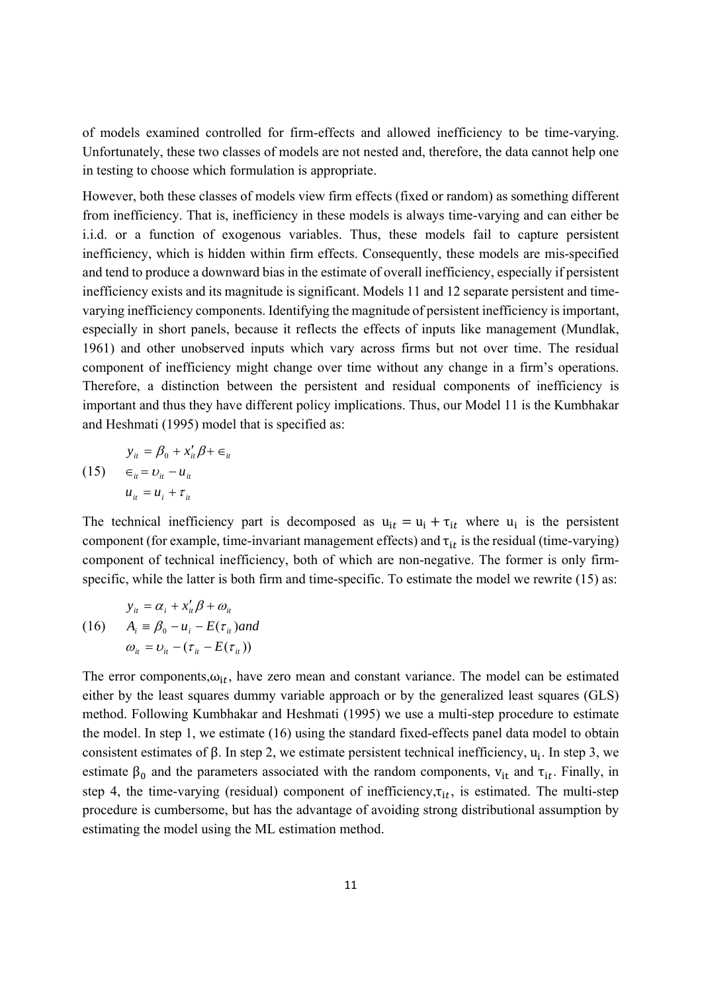of models examined controlled for firm-effects and allowed inefficiency to be time-varying. Unfortunately, these two classes of models are not nested and, therefore, the data cannot help one in testing to choose which formulation is appropriate.

However, both these classes of models view firm effects (fixed or random) as something different from inefficiency. That is, inefficiency in these models is always time-varying and can either be i.i.d. or a function of exogenous variables. Thus, these models fail to capture persistent inefficiency, which is hidden within firm effects. Consequently, these models are mis-specified and tend to produce a downward bias in the estimate of overall inefficiency, especially if persistent inefficiency exists and its magnitude is significant. Models 11 and 12 separate persistent and timevarying inefficiency components. Identifying the magnitude of persistent inefficiency is important, especially in short panels, because it reflects the effects of inputs like management (Mundlak, 1961) and other unobserved inputs which vary across firms but not over time. The residual component of inefficiency might change over time without any change in a firm's operations. Therefore, a distinction between the persistent and residual components of inefficiency is important and thus they have different policy implications. Thus, our Model 11 is the Kumbhakar and Heshmati (1995) model that is specified as:

$$
y_{ii} = \beta_0 + x'_{ii}\beta + \epsilon_{ii}
$$
  
(15) 
$$
\epsilon_{ii} = v_{ii} - u_{ii}
$$

$$
u_{ii} = u_i + \tau_{ii}
$$

The technical inefficiency part is decomposed as  $u_{it} = u_i + \tau_{it}$  where  $u_i$  is the persistent component (for example, time-invariant management effects) and  $\tau_{it}$  is the residual (time-varying) component of technical inefficiency, both of which are non-negative. The former is only firmspecific, while the latter is both firm and time-specific. To estimate the model we rewrite (15) as:

$$
y_{it} = \alpha_i + x_{it}'\beta + \omega_{it}
$$
  
(16) 
$$
A_i \equiv \beta_0 - u_i - E(\tau_{it})
$$

$$
\omega_{it} = \upsilon_{it} - (\tau_{it} - E(\tau_{it}))
$$

The error components, $\omega_{it}$ , have zero mean and constant variance. The model can be estimated either by the least squares dummy variable approach or by the generalized least squares (GLS) method. Following Kumbhakar and Heshmati (1995) we use a multi-step procedure to estimate the model. In step 1, we estimate (16) using the standard fixed-effects panel data model to obtain consistent estimates of  $\beta$ . In step 2, we estimate persistent technical inefficiency, u<sub>i</sub>. In step 3, we estimate  $\beta_0$  and the parameters associated with the random components,  $v_{it}$  and  $\tau_{it}$ . Finally, in step 4, the time-varying (residual) component of inefficiency, $\tau_{it}$ , is estimated. The multi-step procedure is cumbersome, but has the advantage of avoiding strong distributional assumption by estimating the model using the ML estimation method.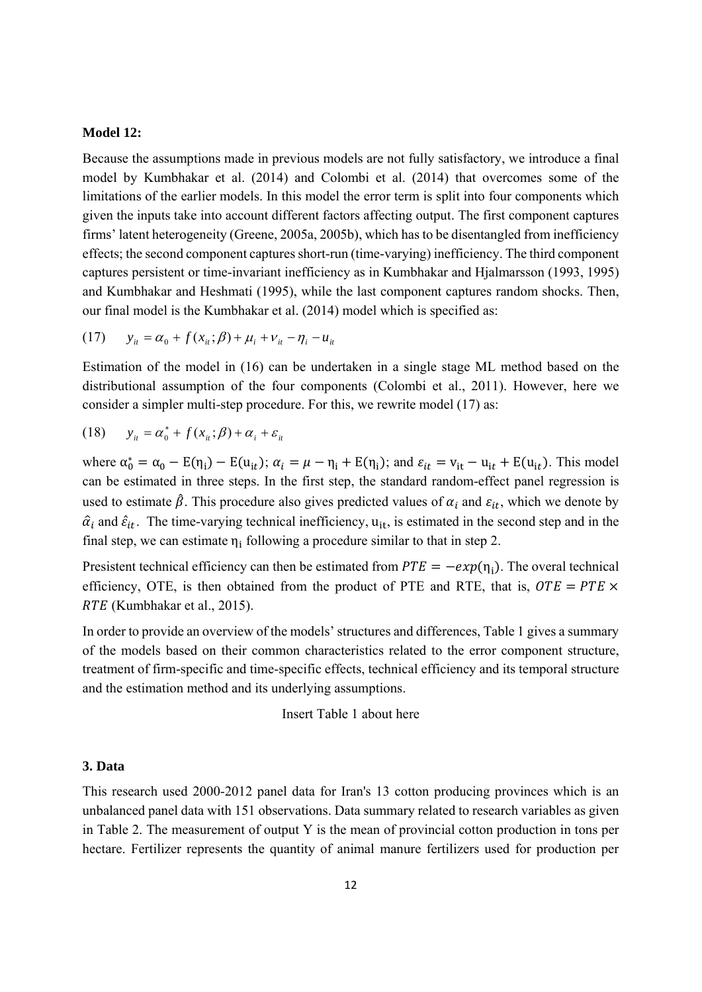#### **Model 12:**

Because the assumptions made in previous models are not fully satisfactory, we introduce a final model by Kumbhakar et al. (2014) and Colombi et al. (2014) that overcomes some of the limitations of the earlier models. In this model the error term is split into four components which given the inputs take into account different factors affecting output. The first component captures firms' latent heterogeneity (Greene, 2005a, 2005b), which has to be disentangled from inefficiency effects; the second component captures short-run (time-varying) inefficiency. The third component captures persistent or time-invariant inefficiency as in Kumbhakar and Hjalmarsson (1993, 1995) and Kumbhakar and Heshmati (1995), while the last component captures random shocks. Then, our final model is the Kumbhakar et al. (2014) model which is specified as:

(17) 
$$
y_{it} = \alpha_0 + f(x_{it}; \beta) + \mu_i + v_{it} - \eta_i - u_{it}
$$

Estimation of the model in (16) can be undertaken in a single stage ML method based on the distributional assumption of the four components (Colombi et al., 2011). However, here we consider a simpler multi-step procedure. For this, we rewrite model (17) as:

(18) 
$$
y_{it} = \alpha_0^* + f(x_{it}; \beta) + \alpha_i + \varepsilon_{it}
$$

where  $\alpha_0^* = \alpha_0 - E(\eta_i) - E(u_{it})$ ;  $\alpha_i = \mu - \eta_i + E(\eta_i)$ ; and  $\varepsilon_{it} = v_{it} - u_{it} + E(u_{it})$ . This model can be estimated in three steps. In the first step, the standard random-effect panel regression is used to estimate  $\hat{\beta}$ . This procedure also gives predicted values of  $\alpha_i$  and  $\varepsilon_{it}$ , which we denote by  $\hat{\alpha}_i$  and  $\hat{\varepsilon}_{it}$ . The time-varying technical inefficiency,  $u_{it}$ , is estimated in the second step and in the final step, we can estimate  $\eta_i$  following a procedure similar to that in step 2.

Presistent technical efficiency can then be estimated from  $PTE = -exp(\eta_i)$ . The overal technical efficiency, OTE, is then obtained from the product of PTE and RTE, that is,  $OTE = PTE \times$ RTE (Kumbhakar et al., 2015).

In order to provide an overview of the models' structures and differences, Table 1 gives a summary of the models based on their common characteristics related to the error component structure, treatment of firm-specific and time-specific effects, technical efficiency and its temporal structure and the estimation method and its underlying assumptions.

Insert Table 1 about here

#### **3. Data**

This research used 2000-2012 panel data for Iran's 13 cotton producing provinces which is an unbalanced panel data with 151 observations. Data summary related to research variables as given in Table 2. The measurement of output Y is the mean of provincial cotton production in tons per hectare. Fertilizer represents the quantity of animal manure fertilizers used for production per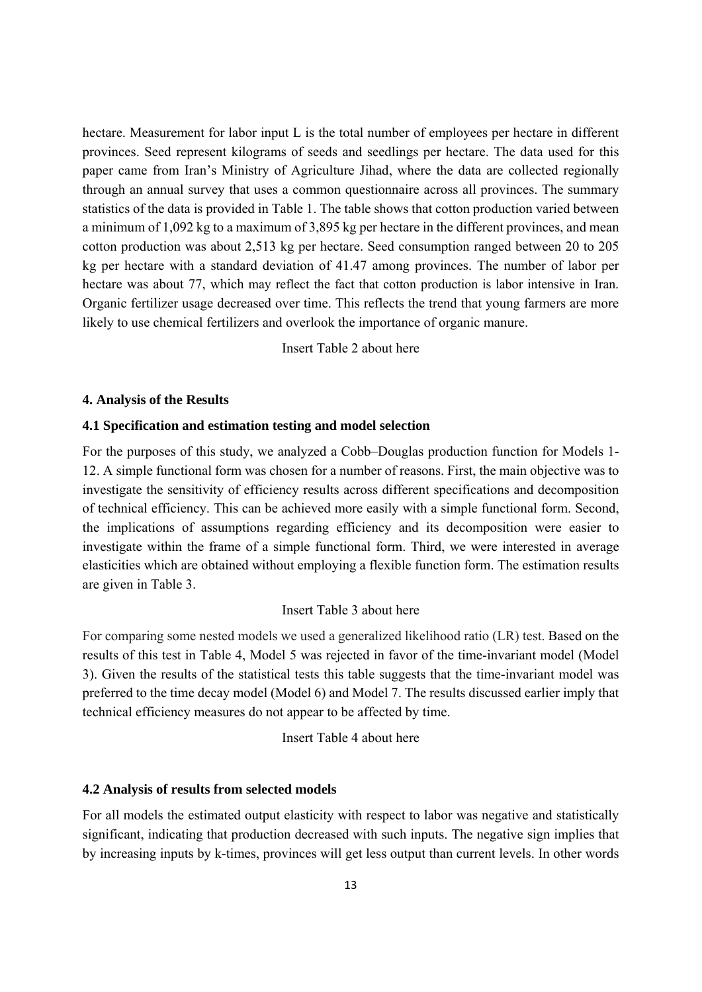hectare. Measurement for labor input L is the total number of employees per hectare in different provinces. Seed represent kilograms of seeds and seedlings per hectare. The data used for this paper came from Iran's Ministry of Agriculture Jihad, where the data are collected regionally through an annual survey that uses a common questionnaire across all provinces. The summary statistics of the data is provided in Table 1. The table shows that cotton production varied between a minimum of 1,092 kg to a maximum of 3,895 kg per hectare in the different provinces, and mean cotton production was about 2,513 kg per hectare. Seed consumption ranged between 20 to 205 kg per hectare with a standard deviation of 41.47 among provinces. The number of labor per hectare was about 77, which may reflect the fact that cotton production is labor intensive in Iran. Organic fertilizer usage decreased over time. This reflects the trend that young farmers are more likely to use chemical fertilizers and overlook the importance of organic manure.

Insert Table 2 about here

#### **4. Analysis of the Results**

#### **4.1 Specification and estimation testing and model selection**

For the purposes of this study, we analyzed a Cobb–Douglas production function for Models 1- 12. A simple functional form was chosen for a number of reasons. First, the main objective was to investigate the sensitivity of efficiency results across different specifications and decomposition of technical efficiency. This can be achieved more easily with a simple functional form. Second, the implications of assumptions regarding efficiency and its decomposition were easier to investigate within the frame of a simple functional form. Third, we were interested in average elasticities which are obtained without employing a flexible function form. The estimation results are given in Table 3.

# Insert Table 3 about here

For comparing some nested models we used a generalized likelihood ratio (LR) test. Based on the results of this test in Table 4, Model 5 was rejected in favor of the time-invariant model (Model 3). Given the results of the statistical tests this table suggests that the time-invariant model was preferred to the time decay model (Model 6) and Model 7. The results discussed earlier imply that technical efficiency measures do not appear to be affected by time.

Insert Table 4 about here

#### **4.2 Analysis of results from selected models**

For all models the estimated output elasticity with respect to labor was negative and statistically significant, indicating that production decreased with such inputs. The negative sign implies that by increasing inputs by k-times, provinces will get less output than current levels. In other words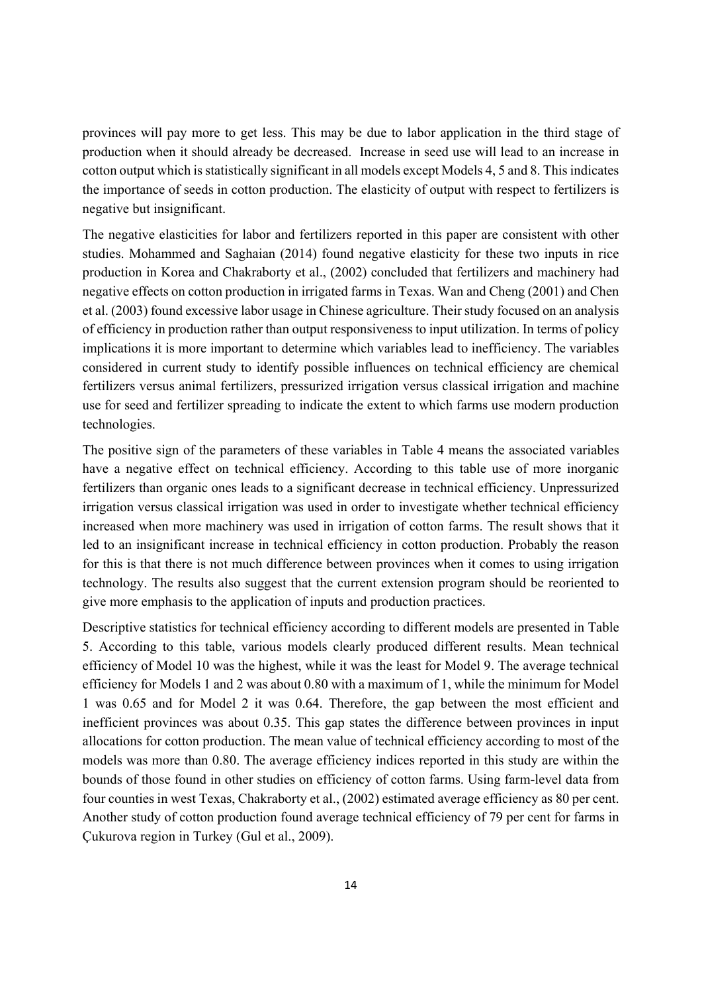provinces will pay more to get less. This may be due to labor application in the third stage of production when it should already be decreased. Increase in seed use will lead to an increase in cotton output which is statistically significant in all models except Models 4, 5 and 8. This indicates the importance of seeds in cotton production. The elasticity of output with respect to fertilizers is negative but insignificant.

The negative elasticities for labor and fertilizers reported in this paper are consistent with other studies. Mohammed and Saghaian (2014) found negative elasticity for these two inputs in rice production in Korea and Chakraborty et al., (2002) concluded that fertilizers and machinery had negative effects on cotton production in irrigated farms in Texas. Wan and Cheng (2001) and Chen et al. (2003) found excessive labor usage in Chinese agriculture. Their study focused on an analysis of efficiency in production rather than output responsiveness to input utilization. In terms of policy implications it is more important to determine which variables lead to inefficiency. The variables considered in current study to identify possible influences on technical efficiency are chemical fertilizers versus animal fertilizers, pressurized irrigation versus classical irrigation and machine use for seed and fertilizer spreading to indicate the extent to which farms use modern production technologies.

The positive sign of the parameters of these variables in Table 4 means the associated variables have a negative effect on technical efficiency. According to this table use of more inorganic fertilizers than organic ones leads to a significant decrease in technical efficiency. Unpressurized irrigation versus classical irrigation was used in order to investigate whether technical efficiency increased when more machinery was used in irrigation of cotton farms. The result shows that it led to an insignificant increase in technical efficiency in cotton production. Probably the reason for this is that there is not much difference between provinces when it comes to using irrigation technology. The results also suggest that the current extension program should be reoriented to give more emphasis to the application of inputs and production practices.

Descriptive statistics for technical efficiency according to different models are presented in Table 5. According to this table, various models clearly produced different results. Mean technical efficiency of Model 10 was the highest, while it was the least for Model 9. The average technical efficiency for Models 1 and 2 was about 0.80 with a maximum of 1, while the minimum for Model 1 was 0.65 and for Model 2 it was 0.64. Therefore, the gap between the most efficient and inefficient provinces was about 0.35. This gap states the difference between provinces in input allocations for cotton production. The mean value of technical efficiency according to most of the models was more than 0.80. The average efficiency indices reported in this study are within the bounds of those found in other studies on efficiency of cotton farms. Using farm-level data from four counties in west Texas, Chakraborty et al., (2002) estimated average efficiency as 80 per cent. Another study of cotton production found average technical efficiency of 79 per cent for farms in Çukurova region in Turkey (Gul et al., 2009).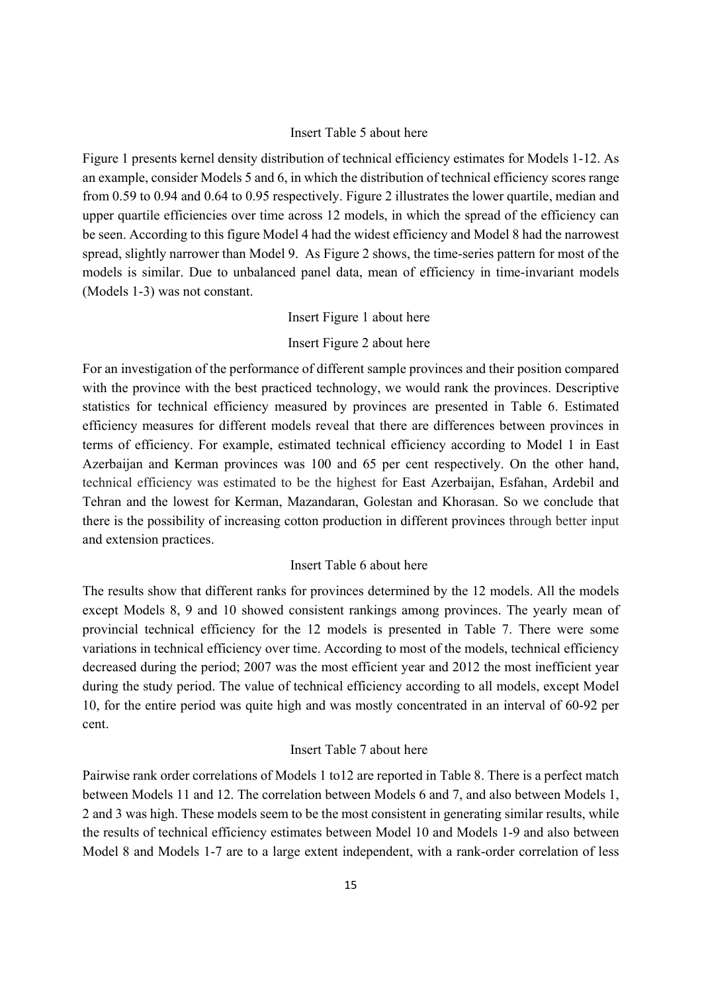### Insert Table 5 about here

Figure 1 presents kernel density distribution of technical efficiency estimates for Models 1-12. As an example, consider Models 5 and 6, in which the distribution of technical efficiency scores range from 0.59 to 0.94 and 0.64 to 0.95 respectively. Figure 2 illustrates the lower quartile, median and upper quartile efficiencies over time across 12 models, in which the spread of the efficiency can be seen. According to this figure Model 4 had the widest efficiency and Model 8 had the narrowest spread, slightly narrower than Model 9. As Figure 2 shows, the time-series pattern for most of the models is similar. Due to unbalanced panel data, mean of efficiency in time-invariant models (Models 1-3) was not constant.

# Insert Figure 1 about here

# Insert Figure 2 about here

For an investigation of the performance of different sample provinces and their position compared with the province with the best practiced technology, we would rank the provinces. Descriptive statistics for technical efficiency measured by provinces are presented in Table 6. Estimated efficiency measures for different models reveal that there are differences between provinces in terms of efficiency. For example, estimated technical efficiency according to Model 1 in East Azerbaijan and Kerman provinces was 100 and 65 per cent respectively. On the other hand, technical efficiency was estimated to be the highest for East Azerbaijan, Esfahan, Ardebil and Tehran and the lowest for Kerman, Mazandaran, Golestan and Khorasan. So we conclude that there is the possibility of increasing cotton production in different provinces through better input and extension practices.

# Insert Table 6 about here

The results show that different ranks for provinces determined by the 12 models. All the models except Models 8, 9 and 10 showed consistent rankings among provinces. The yearly mean of provincial technical efficiency for the 12 models is presented in Table 7. There were some variations in technical efficiency over time. According to most of the models, technical efficiency decreased during the period; 2007 was the most efficient year and 2012 the most inefficient year during the study period. The value of technical efficiency according to all models, except Model 10, for the entire period was quite high and was mostly concentrated in an interval of 60-92 per cent.

# Insert Table 7 about here

Pairwise rank order correlations of Models 1 to12 are reported in Table 8. There is a perfect match between Models 11 and 12. The correlation between Models 6 and 7, and also between Models 1, 2 and 3 was high. These models seem to be the most consistent in generating similar results, while the results of technical efficiency estimates between Model 10 and Models 1-9 and also between Model 8 and Models 1-7 are to a large extent independent, with a rank-order correlation of less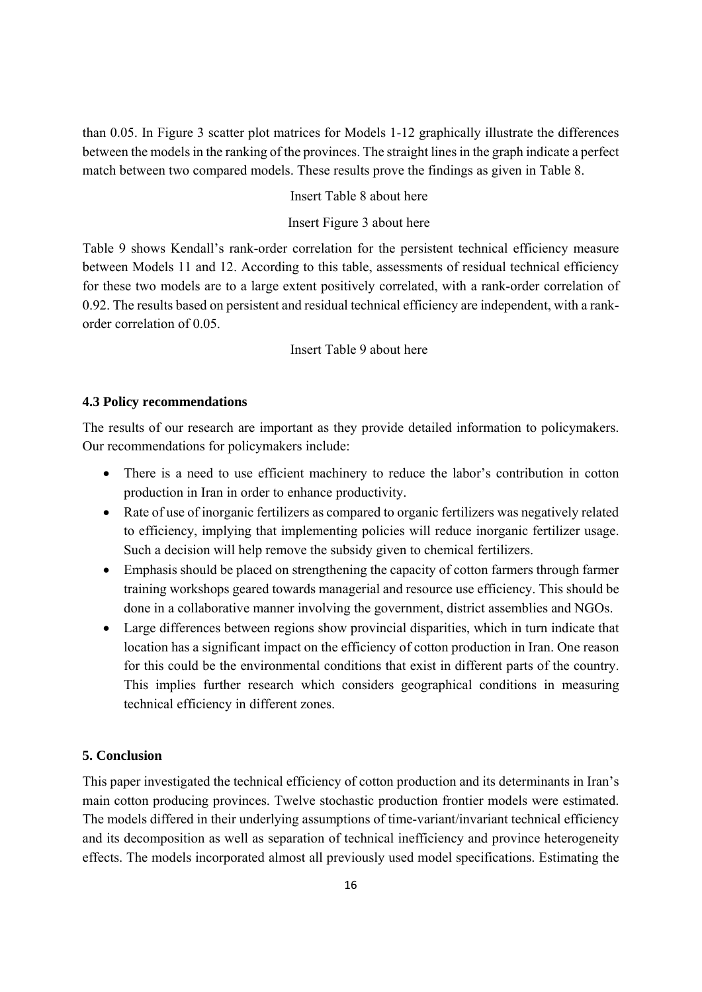than 0.05. In Figure 3 scatter plot matrices for Models 1-12 graphically illustrate the differences between the models in the ranking of the provinces. The straight lines in the graph indicate a perfect match between two compared models. These results prove the findings as given in Table 8.

# Insert Table 8 about here

# Insert Figure 3 about here

Table 9 shows Kendall's rank-order correlation for the persistent technical efficiency measure between Models 11 and 12. According to this table, assessments of residual technical efficiency for these two models are to a large extent positively correlated, with a rank-order correlation of 0.92. The results based on persistent and residual technical efficiency are independent, with a rankorder correlation of 0.05.

# Insert Table 9 about here

#### **4.3 Policy recommendations**

The results of our research are important as they provide detailed information to policymakers. Our recommendations for policymakers include:

- There is a need to use efficient machinery to reduce the labor's contribution in cotton production in Iran in order to enhance productivity.
- Rate of use of inorganic fertilizers as compared to organic fertilizers was negatively related to efficiency, implying that implementing policies will reduce inorganic fertilizer usage. Such a decision will help remove the subsidy given to chemical fertilizers.
- Emphasis should be placed on strengthening the capacity of cotton farmers through farmer training workshops geared towards managerial and resource use efficiency. This should be done in a collaborative manner involving the government, district assemblies and NGOs.
- Large differences between regions show provincial disparities, which in turn indicate that location has a significant impact on the efficiency of cotton production in Iran. One reason for this could be the environmental conditions that exist in different parts of the country. This implies further research which considers geographical conditions in measuring technical efficiency in different zones.

# **5. Conclusion**

This paper investigated the technical efficiency of cotton production and its determinants in Iran's main cotton producing provinces. Twelve stochastic production frontier models were estimated. The models differed in their underlying assumptions of time-variant/invariant technical efficiency and its decomposition as well as separation of technical inefficiency and province heterogeneity effects. The models incorporated almost all previously used model specifications. Estimating the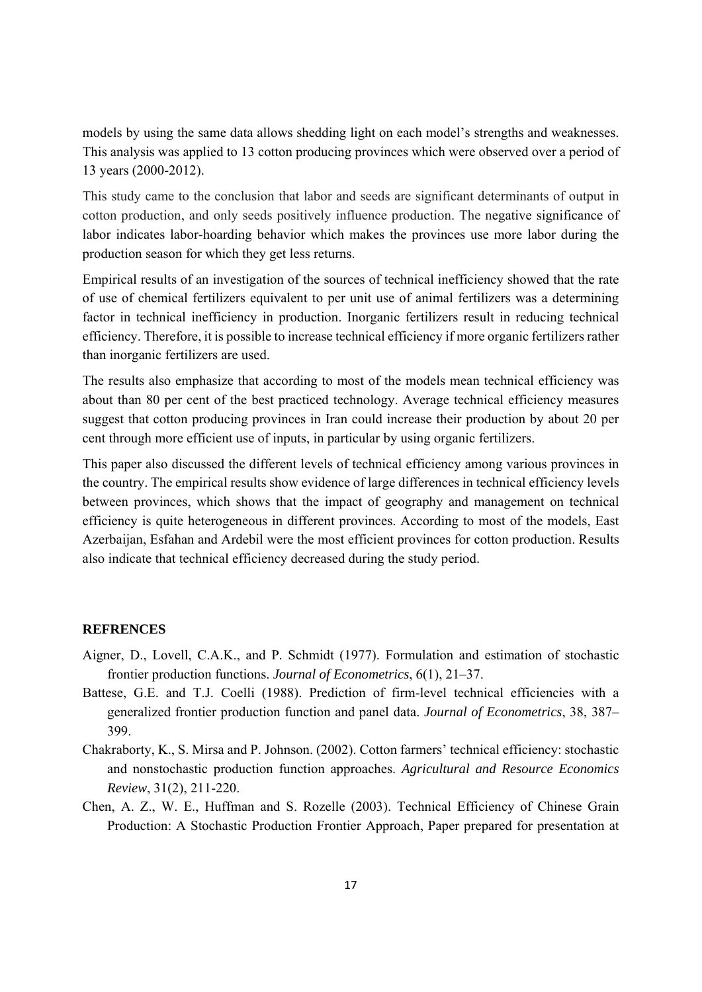models by using the same data allows shedding light on each model's strengths and weaknesses. This analysis was applied to 13 cotton producing provinces which were observed over a period of 13 years (2000-2012).

This study came to the conclusion that labor and seeds are significant determinants of output in cotton production, and only seeds positively influence production. The negative significance of labor indicates labor-hoarding behavior which makes the provinces use more labor during the production season for which they get less returns.

Empirical results of an investigation of the sources of technical inefficiency showed that the rate of use of chemical fertilizers equivalent to per unit use of animal fertilizers was a determining factor in technical inefficiency in production. Inorganic fertilizers result in reducing technical efficiency. Therefore, it is possible to increase technical efficiency if more organic fertilizers rather than inorganic fertilizers are used.

The results also emphasize that according to most of the models mean technical efficiency was about than 80 per cent of the best practiced technology. Average technical efficiency measures suggest that cotton producing provinces in Iran could increase their production by about 20 per cent through more efficient use of inputs, in particular by using organic fertilizers.

This paper also discussed the different levels of technical efficiency among various provinces in the country. The empirical results show evidence of large differences in technical efficiency levels between provinces, which shows that the impact of geography and management on technical efficiency is quite heterogeneous in different provinces. According to most of the models, East Azerbaijan, Esfahan and Ardebil were the most efficient provinces for cotton production. Results also indicate that technical efficiency decreased during the study period.

# **REFRENCES**

- Aigner, D., Lovell, C.A.K., and P. Schmidt (1977). Formulation and estimation of stochastic frontier production functions. *Journal of Econometrics*, 6(1), 21–37.
- Battese, G.E. and T.J. Coelli (1988). Prediction of firm-level technical efficiencies with a generalized frontier production function and panel data. *Journal of Econometrics*, 38, 387– 399.
- Chakraborty, K., S. Mirsa and P. Johnson. (2002). Cotton farmers' technical efficiency: stochastic and nonstochastic production function approaches. *Agricultural and Resource Economics Review*, 31(2), 211-220.
- Chen, A. Z., W. E., Huffman and S. Rozelle (2003). Technical Efficiency of Chinese Grain Production: A Stochastic Production Frontier Approach, Paper prepared for presentation at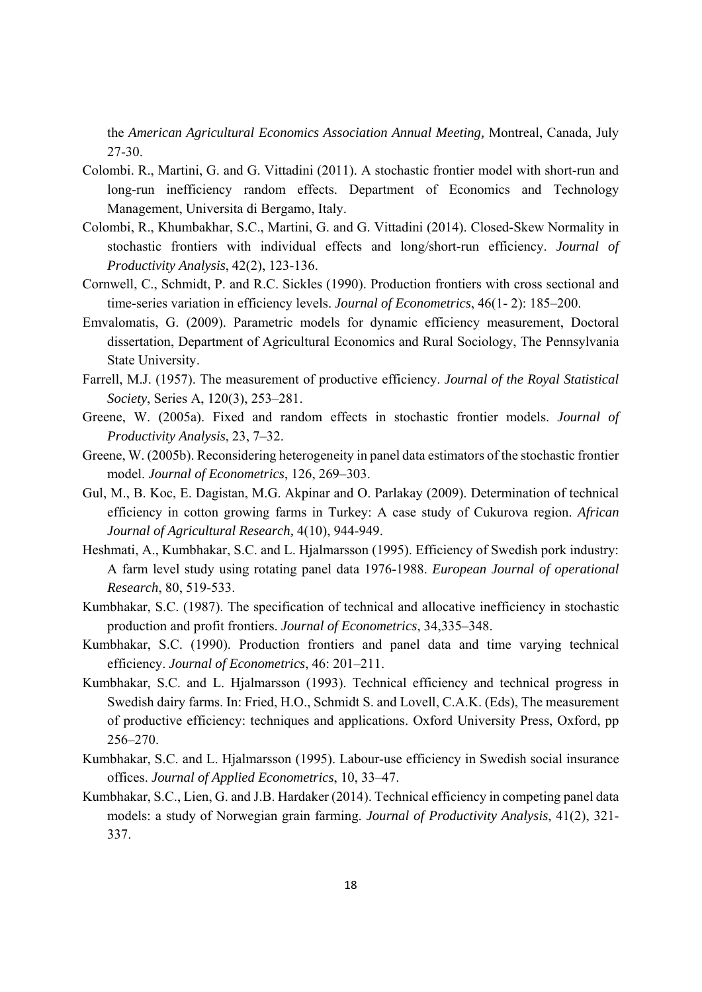the *American Agricultural Economics Association Annual Meeting,* Montreal, Canada, July 27-30.

- Colombi. R., Martini, G. and G. Vittadini (2011). A stochastic frontier model with short-run and long-run inefficiency random effects. Department of Economics and Technology Management, Universita di Bergamo, Italy.
- Colombi, R., Khumbakhar, S.C., Martini, G. and G. Vittadini (2014). Closed-Skew Normality in stochastic frontiers with individual effects and long/short-run efficiency. *Journal of Productivity Analysis*, 42(2), 123-136.
- Cornwell, C., Schmidt, P. and R.C. Sickles (1990). Production frontiers with cross sectional and time-series variation in efficiency levels. *Journal of Econometrics*, 46(1- 2): 185–200.
- Emvalomatis, G. (2009). Parametric models for dynamic efficiency measurement, Doctoral dissertation, Department of Agricultural Economics and Rural Sociology, The Pennsylvania State University.
- Farrell, M.J. (1957). The measurement of productive efficiency. *Journal of the Royal Statistical Society*, Series A, 120(3), 253–281.
- Greene, W. (2005a). Fixed and random effects in stochastic frontier models. *Journal of Productivity Analysis*, 23, 7–32.
- Greene, W. (2005b). Reconsidering heterogeneity in panel data estimators of the stochastic frontier model. *Journal of Econometrics*, 126, 269–303.
- Gul, M., B. Koc, E. Dagistan, M.G. Akpinar and O. Parlakay (2009). Determination of technical efficiency in cotton growing farms in Turkey: A case study of Cukurova region. *African Journal of Agricultural Research,* 4(10), 944-949.
- Heshmati, A., Kumbhakar, S.C. and L. Hjalmarsson (1995). Efficiency of Swedish pork industry: A farm level study using rotating panel data 1976-1988. *European Journal of operational Research*, 80, 519-533.
- Kumbhakar, S.C. (1987). The specification of technical and allocative inefficiency in stochastic production and profit frontiers. *Journal of Econometrics*, 34,335–348.
- Kumbhakar, S.C. (1990). Production frontiers and panel data and time varying technical efficiency. *Journal of Econometrics*, 46: 201–211.
- Kumbhakar, S.C. and L. Hjalmarsson (1993). Technical efficiency and technical progress in Swedish dairy farms. In: Fried, H.O., Schmidt S. and Lovell, C.A.K. (Eds), The measurement of productive efficiency: techniques and applications. Oxford University Press, Oxford, pp 256–270.
- Kumbhakar, S.C. and L. Hjalmarsson (1995). Labour-use efficiency in Swedish social insurance offices. *Journal of Applied Econometrics*, 10, 33–47.
- Kumbhakar, S.C., Lien, G. and J.B. Hardaker (2014). Technical efficiency in competing panel data models: a study of Norwegian grain farming. *Journal of Productivity Analysis*, 41(2), 321- 337.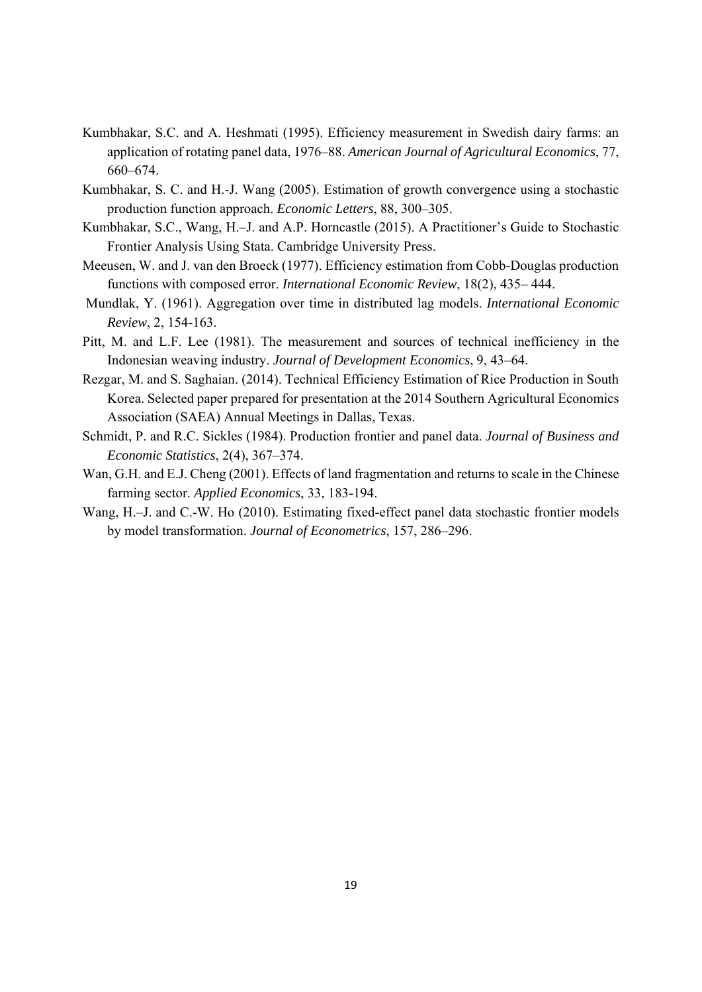- Kumbhakar, S.C. and A. Heshmati (1995). Efficiency measurement in Swedish dairy farms: an application of rotating panel data, 1976–88. *American Journal of Agricultural Economics*, 77, 660–674.
- Kumbhakar, S. C. and H.-J. Wang (2005). Estimation of growth convergence using a stochastic production function approach. *Economic Letters*, 88, 300–305.
- Kumbhakar, S.C., Wang, H.–J. and A.P. Horncastle (2015). A Practitioner's Guide to Stochastic Frontier Analysis Using Stata. Cambridge University Press.
- Meeusen, W. and J. van den Broeck (1977). Efficiency estimation from Cobb-Douglas production functions with composed error. *International Economic Review*, 18(2), 435– 444.
- Mundlak, Y. (1961). Aggregation over time in distributed lag models. *International Economic Review*, 2, 154-163.
- Pitt, M. and L.F. Lee (1981). The measurement and sources of technical inefficiency in the Indonesian weaving industry. *Journal of Development Economics*, 9, 43–64.
- Rezgar, M. and S. Saghaian. (2014). Technical Efficiency Estimation of Rice Production in South Korea. Selected paper prepared for presentation at the 2014 Southern Agricultural Economics Association (SAEA) Annual Meetings in Dallas, Texas.
- Schmidt, P. and R.C. Sickles (1984). Production frontier and panel data. *Journal of Business and Economic Statistics*, 2(4), 367–374.
- Wan, G.H. and E.J. Cheng (2001). Effects of land fragmentation and returns to scale in the Chinese farming sector. *Applied Economics*, 33, 183-194.
- Wang, H.–J. and C.-W. Ho (2010). Estimating fixed-effect panel data stochastic frontier models by model transformation. *Journal of Econometrics*, 157, 286–296.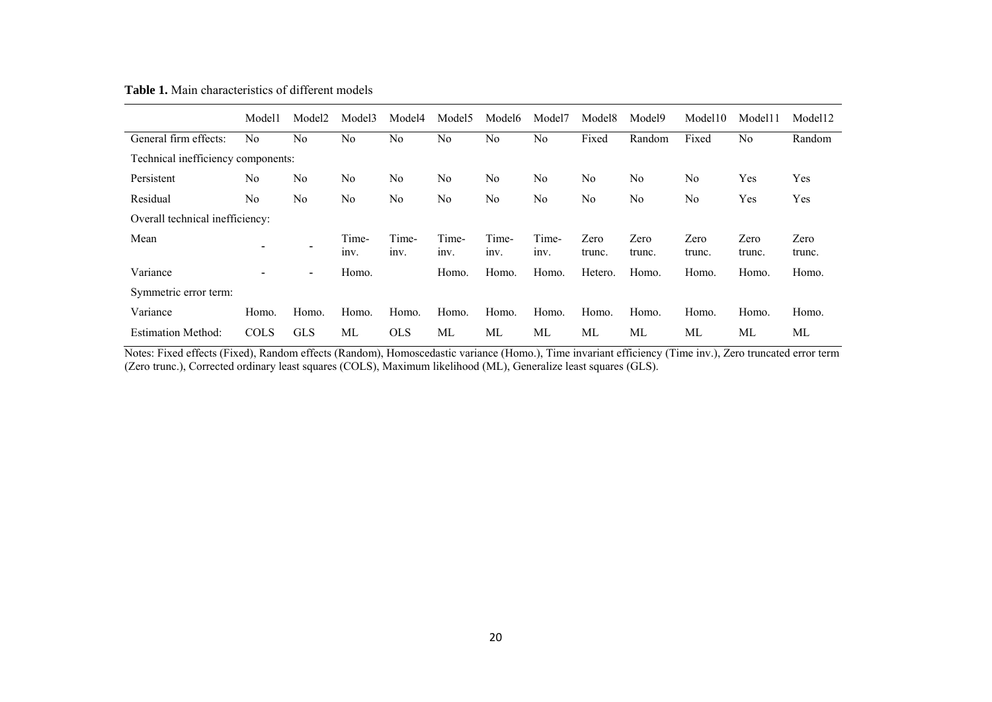**Table 1.** Main characteristics of different models

|                                    | Model1         | Model2     | Model3        | Model4        | Model5         | Model <sub>6</sub> | Model7        | Model <sub>8</sub> | Model9         | Model10        | Model11        | Model12        |
|------------------------------------|----------------|------------|---------------|---------------|----------------|--------------------|---------------|--------------------|----------------|----------------|----------------|----------------|
| General firm effects:              | N <sub>0</sub> | No         | No            | No            | N <sub>0</sub> | No                 | No            | Fixed              | Random         | Fixed          | N <sub>0</sub> | Random         |
| Technical inefficiency components: |                |            |               |               |                |                    |               |                    |                |                |                |                |
| Persistent                         | No             | No         | No            | No            | N <sub>0</sub> | No                 | No            | No                 | No             | N <sub>0</sub> | Yes            | Yes            |
| Residual                           | No             | No         | No            | No            | N <sub>0</sub> | No                 | No            | No                 | No             | No             | Yes            | Yes            |
| Overall technical inefficiency:    |                |            |               |               |                |                    |               |                    |                |                |                |                |
| Mean                               | ۰              | ٠          | Time-<br>Inv. | Time-<br>Inv. | Time-<br>Inv.  | Time-<br>Inv.      | Time-<br>Inv. | Zero<br>trunc.     | Zero<br>trunc. | Zero<br>trunc. | Zero<br>trunc. | Zero<br>trunc. |
| Variance                           | ۰              | ۰.         | Homo.         |               | Homo.          | Homo.              | Homo.         | Hetero.            | Homo.          | Homo.          | Homo.          | Homo.          |
| Symmetric error term:              |                |            |               |               |                |                    |               |                    |                |                |                |                |
| Variance                           | Homo.          | Homo.      | Homo.         | Homo.         | Homo.          | Homo.              | Homo.         | Homo.              | Homo.          | Homo.          | Homo.          | Homo.          |
| <b>Estimation Method:</b>          | <b>COLS</b>    | <b>GLS</b> | МL            | <b>OLS</b>    | МL             | МL                 | МL            | МL                 | МL             | МL             | МL             | МL             |

Notes: Fixed effects (Fixed), Random effects (Random), Homoscedastic variance (Homo.), Time invariant efficiency (Time inv.), Zero truncated error term (Zero trunc.), Corrected ordinary least squares (COLS), Maximum likelihood (ML), Generalize least squares (GLS).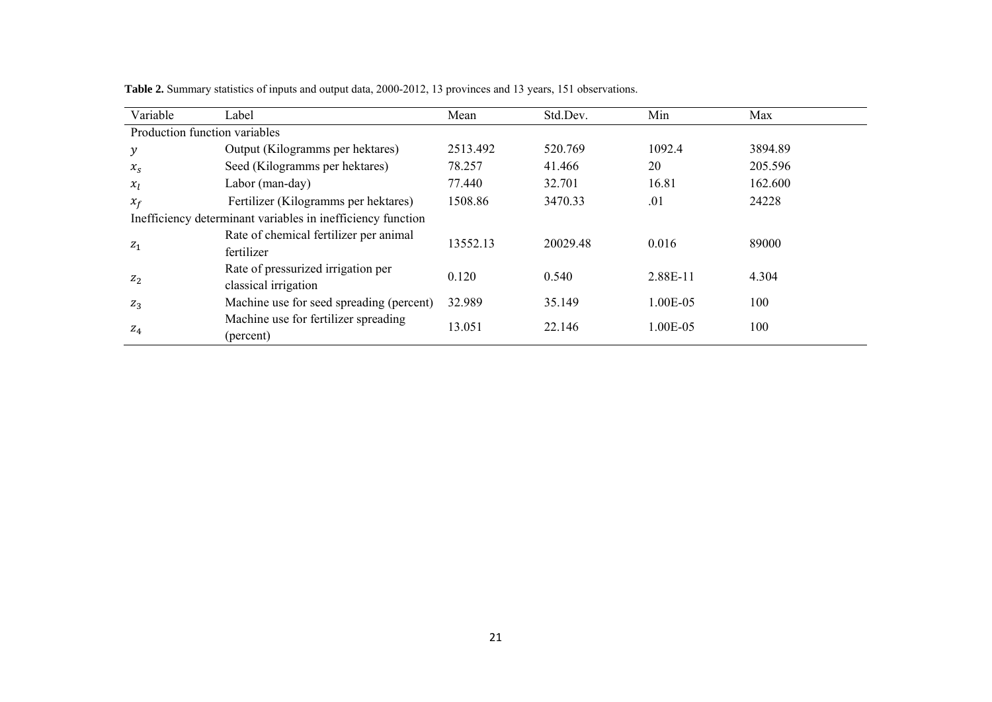| Variable                      | Label                                                       | Mean     | Std.Dev. | Min      | Max     |
|-------------------------------|-------------------------------------------------------------|----------|----------|----------|---------|
| Production function variables |                                                             |          |          |          |         |
| $\mathcal{Y}$                 | Output (Kilogramms per hektares)                            | 2513.492 | 520.769  | 1092.4   | 3894.89 |
| $x_{S}$                       | Seed (Kilogramms per hektares)                              | 78.257   | 41.466   | 20       | 205.596 |
| $x_I$                         | Labor (man-day)                                             | 77.440   | 32.701   | 16.81    | 162.600 |
| $x_f$                         | Fertilizer (Kilogramms per hektares)                        | 1508.86  | 3470.33  | .01      | 24228   |
|                               | Inefficiency determinant variables in inefficiency function |          |          |          |         |
|                               | Rate of chemical fertilizer per animal                      | 13552.13 | 20029.48 | 0.016    | 89000   |
| $z_1$                         | fertilizer                                                  |          |          |          |         |
| $Z_2$                         | Rate of pressurized irrigation per                          | 0.120    | 0.540    | 2.88E-11 | 4.304   |
|                               | classical irrigation                                        |          |          |          |         |
| $Z_3$                         | Machine use for seed spreading (percent)                    | 32.989   | 35.149   | 1.00E-05 | 100     |
|                               | Machine use for fertilizer spreading                        | 13.051   | 22.146   | 1.00E-05 | 100     |
| $Z_4$                         | (percent)                                                   |          |          |          |         |

**Table 2.** Summary statistics of inputs and output data, 2000-2012, 13 provinces and 13 years, 151 observations.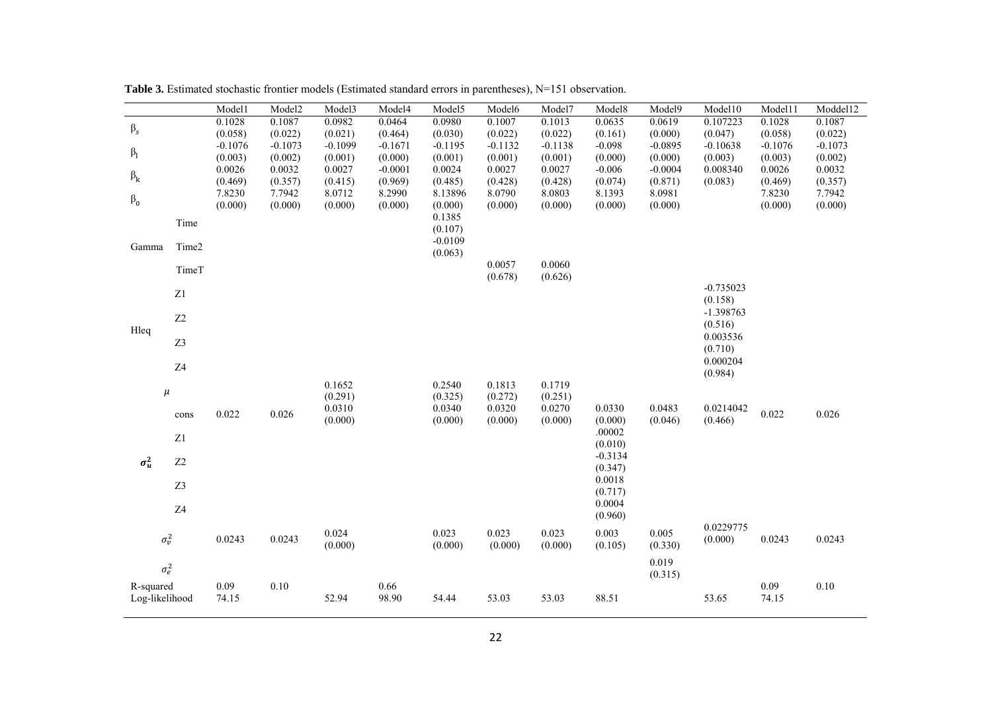|                |                | Model1               | Model2               | Model3               | Model4               | Model5               | Model6               | Model7               | Model8              | Model9               | Model10                | Model11              | Moddel12             |
|----------------|----------------|----------------------|----------------------|----------------------|----------------------|----------------------|----------------------|----------------------|---------------------|----------------------|------------------------|----------------------|----------------------|
| $\beta_s$      |                | 0.1028               | 0.1087               | 0.0982               | 0.0464               | 0.0980               | 0.1007               | 0.1013               | 0.0635              | 0.0619               | 0.107223               | 0.1028               | 0.1087               |
|                |                | (0.058)<br>$-0.1076$ | (0.022)<br>$-0.1073$ | (0.021)<br>$-0.1099$ | (0.464)<br>$-0.1671$ | (0.030)<br>$-0.1195$ | (0.022)<br>$-0.1132$ | (0.022)<br>$-0.1138$ | (0.161)<br>$-0.098$ | (0.000)<br>$-0.0895$ | (0.047)<br>$-0.10638$  | (0.058)<br>$-0.1076$ | (0.022)<br>$-0.1073$ |
| $\beta_1$      |                | (0.003)              | (0.002)              | (0.001)              | (0.000)              | (0.001)              | (0.001)              | (0.001)              | (0.000)             | (0.000)              | (0.003)                | (0.003)              | (0.002)              |
| $\beta_k$      |                | 0.0026               | 0.0032               | 0.0027               | $-0.0001$            | 0.0024               | 0.0027               | 0.0027               | $-0.006$            | $-0.0004$            | 0.008340               | 0.0026               | 0.0032               |
|                |                | (0.469)              | (0.357)              | (0.415)              | (0.969)              | (0.485)              | (0.428)              | (0.428)              | (0.074)             | (0.871)              | (0.083)                | (0.469)              | (0.357)              |
| $\beta_0$      |                | 7.8230<br>(0.000)    | 7.7942<br>(0.000)    | 8.0712<br>(0.000)    | 8.2990<br>(0.000)    | 8.13896<br>(0.000)   | 8.0790<br>(0.000)    | 8.0803<br>(0.000)    | 8.1393<br>(0.000)   | 8.0981<br>(0.000)    |                        | 7.8230<br>(0.000)    | 7.7942<br>(0.000)    |
|                |                |                      |                      |                      |                      | 0.1385               |                      |                      |                     |                      |                        |                      |                      |
|                | Time           |                      |                      |                      |                      | (0.107)              |                      |                      |                     |                      |                        |                      |                      |
| Gamma          | Time2          |                      |                      |                      |                      | $-0.0109$            |                      |                      |                     |                      |                        |                      |                      |
|                |                |                      |                      |                      |                      | (0.063)              | 0.0057               | 0.0060               |                     |                      |                        |                      |                      |
|                | TimeT          |                      |                      |                      |                      |                      | (0.678)              | (0.626)              |                     |                      |                        |                      |                      |
|                | Z1             |                      |                      |                      |                      |                      |                      |                      |                     |                      | $-0.735023$            |                      |                      |
|                |                |                      |                      |                      |                      |                      |                      |                      |                     |                      | (0.158)<br>$-1.398763$ |                      |                      |
|                | Z <sub>2</sub> |                      |                      |                      |                      |                      |                      |                      |                     |                      | (0.516)                |                      |                      |
| Hleq           | Z3             |                      |                      |                      |                      |                      |                      |                      |                     |                      | 0.003536               |                      |                      |
|                |                |                      |                      |                      |                      |                      |                      |                      |                     |                      | (0.710)                |                      |                      |
|                | Z4             |                      |                      |                      |                      |                      |                      |                      |                     |                      | 0.000204<br>(0.984)    |                      |                      |
|                |                |                      |                      | 0.1652               |                      | 0.2540               | 0.1813               | 0.1719               |                     |                      |                        |                      |                      |
|                | $\mu$          |                      |                      | (0.291)              |                      | (0.325)              | (0.272)              | (0.251)              |                     |                      |                        |                      |                      |
|                | cons           | 0.022                | 0.026                | 0.0310<br>(0.000)    |                      | 0.0340<br>(0.000)    | 0.0320<br>(0.000)    | 0.0270<br>(0.000)    | 0.0330<br>(0.000)   | 0.0483<br>(0.046)    | 0.0214042<br>(0.466)   | 0.022                | 0.026                |
|                |                |                      |                      |                      |                      |                      |                      |                      | .00002              |                      |                        |                      |                      |
|                | Z1             |                      |                      |                      |                      |                      |                      |                      | (0.010)             |                      |                        |                      |                      |
| $\sigma_u^2$   | Z <sub>2</sub> |                      |                      |                      |                      |                      |                      |                      | $-0.3134$           |                      |                        |                      |                      |
|                |                |                      |                      |                      |                      |                      |                      |                      | (0.347)<br>0.0018   |                      |                        |                      |                      |
|                | Z3             |                      |                      |                      |                      |                      |                      |                      | (0.717)             |                      |                        |                      |                      |
|                | Z <sub>4</sub> |                      |                      |                      |                      |                      |                      |                      | 0.0004              |                      |                        |                      |                      |
|                |                |                      |                      |                      |                      |                      |                      |                      | (0.960)             |                      | 0.0229775              |                      |                      |
|                | $\sigma_v^2$   | 0.0243               | 0.0243               | 0.024                |                      | 0.023                | 0.023                | 0.023                | 0.003               | 0.005                | (0.000)                | 0.0243               | 0.0243               |
|                |                |                      |                      | (0.000)              |                      | (0.000)              | (0.000)              | (0.000)              | (0.105)             | (0.330)              |                        |                      |                      |
|                | $\sigma_e^2$   |                      |                      |                      |                      |                      |                      |                      |                     | 0.019<br>(0.315)     |                        |                      |                      |
| R-squared      |                | 0.09                 | 0.10                 |                      | 0.66                 |                      |                      |                      |                     |                      |                        | 0.09                 | $0.10\,$             |
| Log-likelihood |                | 74.15                |                      | 52.94                | 98.90                | 54.44                | 53.03                | 53.03                | 88.51               |                      | 53.65                  | 74.15                |                      |
|                |                |                      |                      |                      |                      |                      |                      |                      |                     |                      |                        |                      |                      |

Table 3. Estimated stochastic frontier models (Estimated standard errors in parentheses), N=151 observation.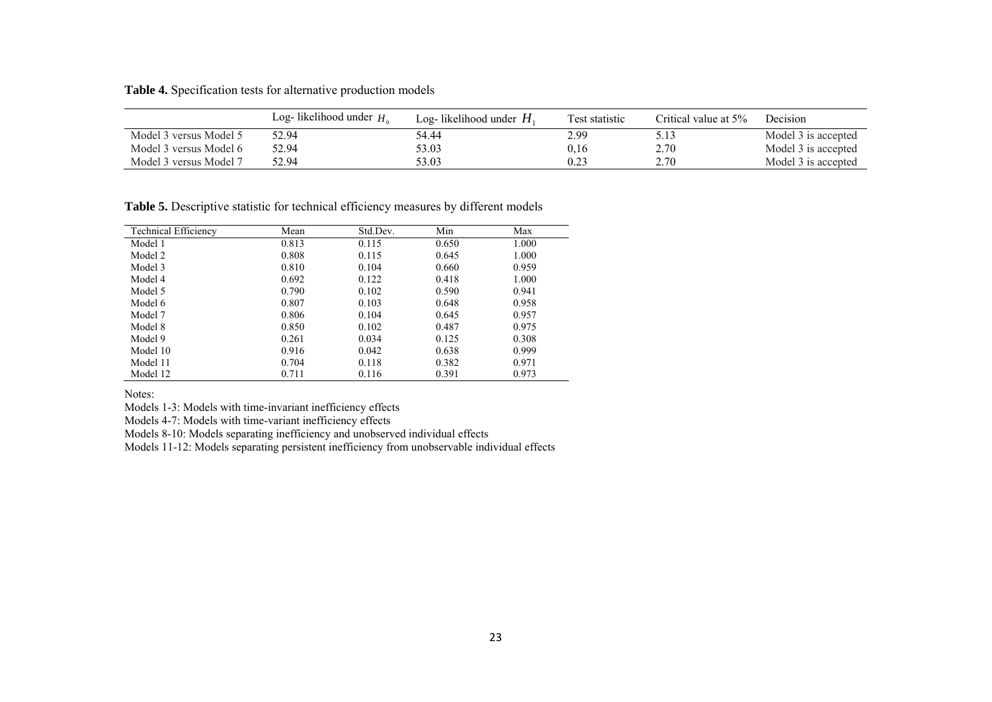**Table 4.** Specification tests for alternative production models

|                        | Log-likelihood under $H_0$ | Log-likelihood under $H_1$ | Test statistic | Critical value at 5% | Decision            |
|------------------------|----------------------------|----------------------------|----------------|----------------------|---------------------|
| Model 3 versus Model 5 | 52.94                      | 54.44                      | 2.99           | 5.13                 | Model 3 is accepted |
| Model 3 versus Model 6 | 52.94                      | 53.03                      | 0.16           | 2.70                 | Model 3 is accepted |
| Model 3 versus Model 7 | 52.94                      | 53.03                      | 0.23           | 2.70                 | Model 3 is accepted |

Table 5. Descriptive statistic for technical efficiency measures by different models

| <b>Technical Efficiency</b> | Mean  | Std.Dev. | Min   | Max   |
|-----------------------------|-------|----------|-------|-------|
| Model 1                     | 0.813 | 0.115    | 0.650 | 1.000 |
| Model 2                     | 0.808 | 0.115    | 0.645 | 1.000 |
| Model 3                     | 0.810 | 0.104    | 0.660 | 0.959 |
| Model 4                     | 0.692 | 0.122    | 0.418 | 1.000 |
| Model 5                     | 0.790 | 0.102    | 0.590 | 0.941 |
| Model 6                     | 0.807 | 0.103    | 0.648 | 0.958 |
| Model 7                     | 0.806 | 0.104    | 0.645 | 0.957 |
| Model 8                     | 0.850 | 0.102    | 0.487 | 0.975 |
| Model 9                     | 0.261 | 0.034    | 0.125 | 0.308 |
| Model 10                    | 0.916 | 0.042    | 0.638 | 0.999 |
| Model 11                    | 0.704 | 0.118    | 0.382 | 0.971 |
| Model 12                    | 0.711 | 0.116    | 0.391 | 0.973 |

Notes:

Models 1-3: Models with time-invariant inefficiency effects

Models 4-7: Models with time-variant inefficiency effects

Models 8-10: Models separating inefficiency and unobserved individual effects

Models 11-12: Models separating persistent inefficiency from unobservable individual effects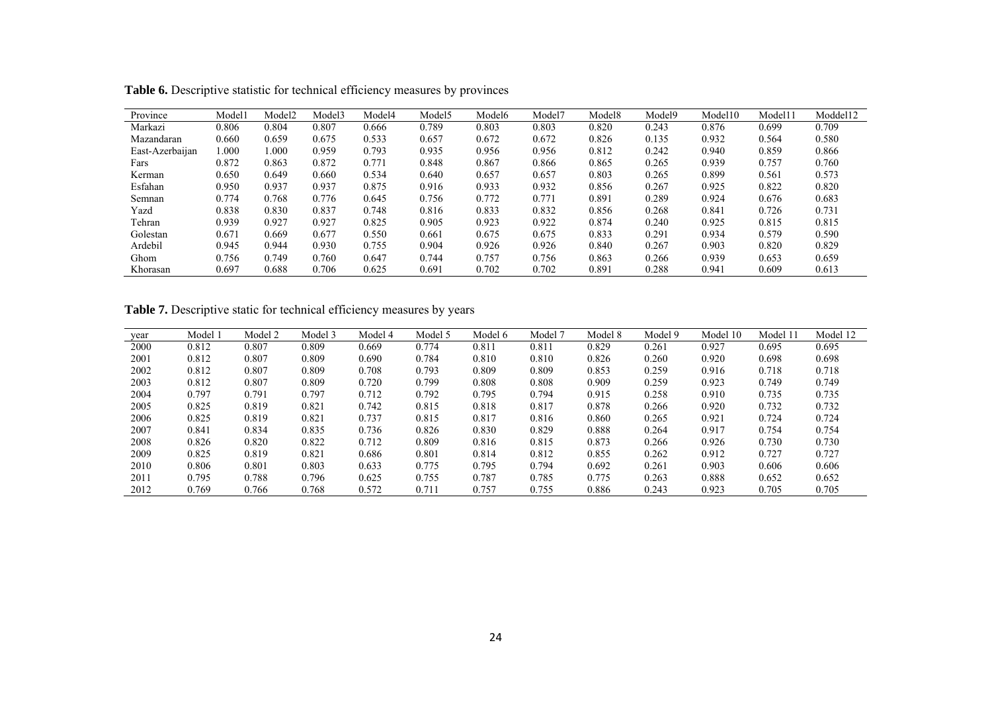| Province        | Model1 | Model <sub>2</sub> | Model3 | Model4 | Model <sub>5</sub> | Model6 | Model7 | Model <sub>8</sub> | Model9 | Model10 | Model11 | Moddel12 |
|-----------------|--------|--------------------|--------|--------|--------------------|--------|--------|--------------------|--------|---------|---------|----------|
| Markazi         | 0.806  | 0.804              | 0.807  | 0.666  | 0.789              | 0.803  | 0.803  | 0.820              | 0.243  | 0.876   | 0.699   | 0.709    |
| Mazandaran      | 0.660  | 0.659              | 0.675  | 0.533  | 0.657              | 0.672  | 0.672  | 0.826              | 0.135  | 0.932   | 0.564   | 0.580    |
| East-Azerbaijan | 1.000  | 000.               | 0.959  | 0.793  | 0.935              | 0.956  | 0.956  | 0.812              | 0.242  | 0.940   | 0.859   | 0.866    |
| Fars            | 0.872  | 0.863              | 0.872  | 0.771  | 0.848              | 0.867  | 0.866  | 0.865              | 0.265  | 0.939   | 0.757   | 0.760    |
| Kerman          | 0.650  | 0.649              | 0.660  | 0.534  | 0.640              | 0.657  | 0.657  | 0.803              | 0.265  | 0.899   | 0.561   | 0.573    |
| Esfahan         | 0.950  | 0.937              | 0.937  | 0.875  | 0.916              | 0.933  | 0.932  | 0.856              | 0.267  | 0.925   | 0.822   | 0.820    |
| Semnan          | 0.774  | 0.768              | 0.776  | 0.645  | 0.756              | 0.772  | 0.771  | 0.891              | 0.289  | 0.924   | 0.676   | 0.683    |
| Yazd            | 0.838  | 0.830              | 0.837  | 0.748  | 0.816              | 0.833  | 0.832  | 0.856              | 0.268  | 0.841   | 0.726   | 0.731    |
| Tehran          | 0.939  | 0.927              | 0.927  | 0.825  | 0.905              | 0.923  | 0.922  | 0.874              | 0.240  | 0.925   | 0.815   | 0.815    |
| Golestan        | 0.671  | 0.669              | 0.677  | 0.550  | 0.661              | 0.675  | 0.675  | 0.833              | 0.291  | 0.934   | 0.579   | 0.590    |
| Ardebil         | 0.945  | 0.944              | 0.930  | 0.755  | 0.904              | 0.926  | 0.926  | 0.840              | 0.267  | 0.903   | 0.820   | 0.829    |
| Ghom            | 0.756  | 0.749              | 0.760  | 0.647  | 0.744              | 0.757  | 0.756  | 0.863              | 0.266  | 0.939   | 0.653   | 0.659    |
| Khorasan        | 0.697  | 0.688              | 0.706  | 0.625  | 0.691              | 0.702  | 0.702  | 0.891              | 0.288  | 0.941   | 0.609   | 0.613    |

**Table 6.** Descriptive statistic for technical efficiency measures by provinces

Table 7. Descriptive static for technical efficiency measures by years

| year | Model 1 | Model 2 | Model 3 | Model 4 | Model 5 | Model 6 | Model 7 | Model 8 | Model 9 | Model<br>-10 | Model | Model 12 |
|------|---------|---------|---------|---------|---------|---------|---------|---------|---------|--------------|-------|----------|
| 2000 | 0.812   | 0.807   | 0.809   | 0.669   | 0.774   | 0.811   | 0.811   | 0.829   | 0.261   | 0.927        | 0.695 | 0.695    |
| 2001 | 0.812   | 0.807   | 0.809   | 0.690   | 0.784   | 0.810   | 0.810   | 0.826   | 0.260   | 0.920        | 0.698 | 0.698    |
| 2002 | 0.812   | 0.807   | 0.809   | 0.708   | 0.793   | 0.809   | 0.809   | 0.853   | 0.259   | 0.916        | 0.718 | 0.718    |
| 2003 | 0.812   | 0.807   | 0.809   | 0.720   | 0.799   | 0.808   | 0.808   | 0.909   | 0.259   | 0.923        | 0.749 | 0.749    |
| 2004 | 0.797   | 0.791   | 0.797   | 0.712   | 0.792   | 0.795   | 0.794   | 0.915   | 0.258   | 0.910        | 0.735 | 0.735    |
| 2005 | 0.825   | 0.819   | 0.821   | 0.742   | 0.815   | 0.818   | 0.817   | 0.878   | 0.266   | 0.920        | 0.732 | 0.732    |
| 2006 | 0.825   | 0.819   | 0.821   | 0.737   | 0.815   | 0.817   | 0.816   | 0.860   | 0.265   | 0.921        | 0.724 | 0.724    |
| 2007 | 0.841   | 0.834   | 0.835   | 0.736   | 0.826   | 0.830   | 0.829   | 0.888   | 0.264   | 0.917        | 0.754 | 0.754    |
| 2008 | 0.826   | 0.820   | 0.822   | 0.712   | 0.809   | 0.816   | 0.815   | 0.873   | 0.266   | 0.926        | 0.730 | 0.730    |
| 2009 | 0.825   | 0.819   | 0.821   | 0.686   | 0.801   | 0.814   | 0.812   | 0.855   | 0.262   | 0.912        | 0.727 | 0.727    |
| 2010 | 0.806   | 0.801   | 0.803   | 0.633   | 0.775   | 0.795   | 0.794   | 0.692   | 0.261   | 0.903        | 0.606 | 0.606    |
| 2011 | 0.795   | 0.788   | 0.796   | 0.625   | 0.755   | 0.787   | 0.785   | 0.775   | 0.263   | 0.888        | 0.652 | 0.652    |
| 2012 | 0.769   | 0.766   | 0.768   | 0.572   | 0.711   | 0.757   | 0.755   | 0.886   | 0.243   | 0.923        | 0.705 | 0.705    |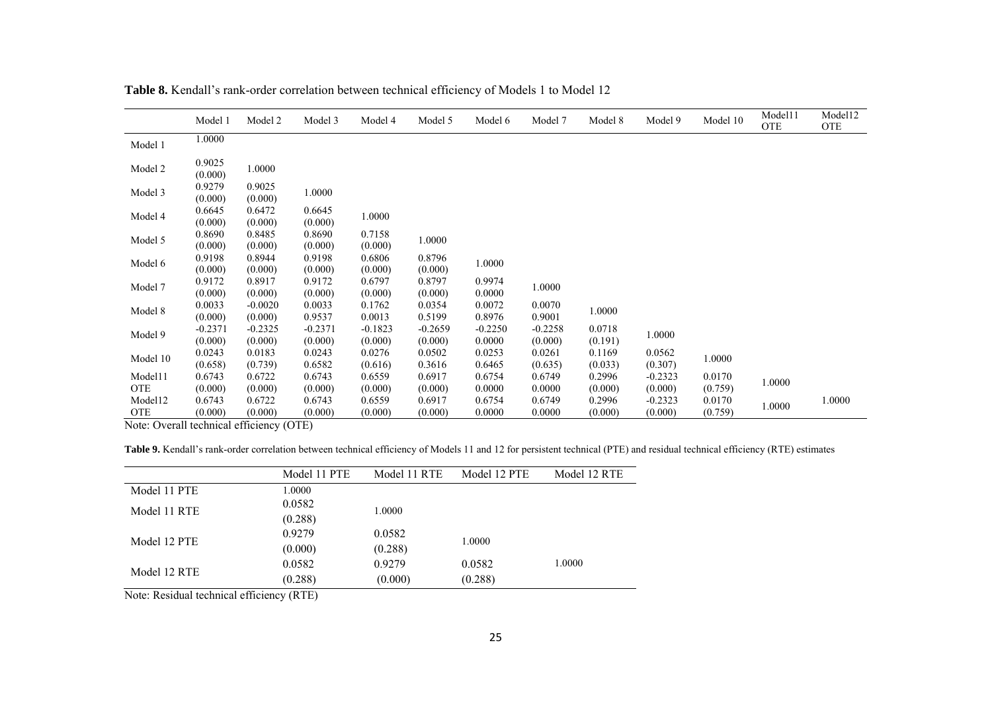|            | Model 1              | Model 2              | Model 3              | Model 4              | Model 5              | Model 6             | Model 7              | Model 8           | Model 9           | Model 10 | Model11<br><b>OTE</b> | Model12<br><b>OTE</b> |
|------------|----------------------|----------------------|----------------------|----------------------|----------------------|---------------------|----------------------|-------------------|-------------------|----------|-----------------------|-----------------------|
| Model 1    | 1.0000               |                      |                      |                      |                      |                     |                      |                   |                   |          |                       |                       |
| Model 2    | 0.9025<br>(0.000)    | 1.0000               |                      |                      |                      |                     |                      |                   |                   |          |                       |                       |
| Model 3    | 0.9279<br>(0.000)    | 0.9025<br>(0.000)    | 1.0000               |                      |                      |                     |                      |                   |                   |          |                       |                       |
| Model 4    | 0.6645<br>(0.000)    | 0.6472<br>(0.000)    | 0.6645<br>(0.000)    | 1.0000               |                      |                     |                      |                   |                   |          |                       |                       |
| Model 5    | 0.8690<br>(0.000)    | 0.8485<br>(0.000)    | 0.8690<br>(0.000)    | 0.7158<br>(0.000)    | 1.0000               |                     |                      |                   |                   |          |                       |                       |
| Model 6    | 0.9198<br>(0.000)    | 0.8944<br>(0.000)    | 0.9198<br>(0.000)    | 0.6806<br>(0.000)    | 0.8796<br>(0.000)    | 1.0000              |                      |                   |                   |          |                       |                       |
| Model 7    | 0.9172<br>(0.000)    | 0.8917<br>(0.000)    | 0.9172<br>(0.000)    | 0.6797<br>(0.000)    | 0.8797<br>(0.000)    | 0.9974<br>0.0000    | 1.0000               |                   |                   |          |                       |                       |
| Model 8    | 0.0033<br>(0.000)    | $-0.0020$<br>(0.000) | 0.0033<br>0.9537     | 0.1762<br>0.0013     | 0.0354<br>0.5199     | 0.0072<br>0.8976    | 0.0070<br>0.9001     | 1.0000            |                   |          |                       |                       |
| Model 9    | $-0.2371$<br>(0.000) | $-0.2325$<br>(0.000) | $-0.2371$<br>(0.000) | $-0.1823$<br>(0.000) | $-0.2659$<br>(0.000) | $-0.2250$<br>0.0000 | $-0.2258$<br>(0.000) | 0.0718<br>(0.191) | 1.0000            |          |                       |                       |
| Model 10   | 0.0243<br>(0.658)    | 0.0183<br>(0.739)    | 0.0243<br>0.6582     | 0.0276<br>(0.616)    | 0.0502<br>0.3616     | 0.0253<br>0.6465    | 0.0261<br>(0.635)    | 0.1169<br>(0.033) | 0.0562<br>(0.307) | 1.0000   |                       |                       |
| Model11    | 0.6743               | 0.6722               | 0.6743               | 0.6559               | 0.6917               | 0.6754              | 0.6749               | 0.2996            | $-0.2323$         | 0.0170   |                       |                       |
| <b>OTE</b> | (0.000)              | (0.000)              | (0.000)              | (0.000)              | (0.000)              | 0.0000              | 0.0000               | (0.000)           | (0.000)           | (0.759)  | 1.0000                |                       |
| Model12    | 0.6743               | 0.6722               | 0.6743               | 0.6559               | 0.6917               | 0.6754              | 0.6749               | 0.2996            | $-0.2323$         | 0.0170   | 1.0000                | 1.0000                |
| <b>OTE</b> | (0.000)              | (0.000)              | (0.000)              | (0.000)              | (0.000)              | 0.0000              | 0.0000               | (0.000)           | (0.000)           | (0.759)  |                       |                       |

**Table 8.** Kendall's rank-order correlation between technical efficiency of Models 1 to Model 12

Note: Overall technical efficiency (OTE)

**Table 9.** Kendall's rank-order correlation between technical efficiency of Models 11 and 12 for persistent technical (PTE) and residual technical efficiency (RTE) estimates

|              | Model 11 PTE | Model 11 RTE | Model 12 PTE | Model 12 RTE |
|--------------|--------------|--------------|--------------|--------------|
| Model 11 PTE | 1.0000       |              |              |              |
| Model 11 RTE | 0.0582       | 1.0000       |              |              |
|              | (0.288)      |              |              |              |
| Model 12 PTE | 0.9279       | 0.0582       |              |              |
|              | (0.000)      | (0.288)      | 1.0000       |              |
|              | 0.0582       | 0.9279       | 0.0582       | 1.0000       |
| Model 12 RTE | (0.288)      | (0.000)      | (0.288)      |              |

Note: Residual technical efficiency (RTE)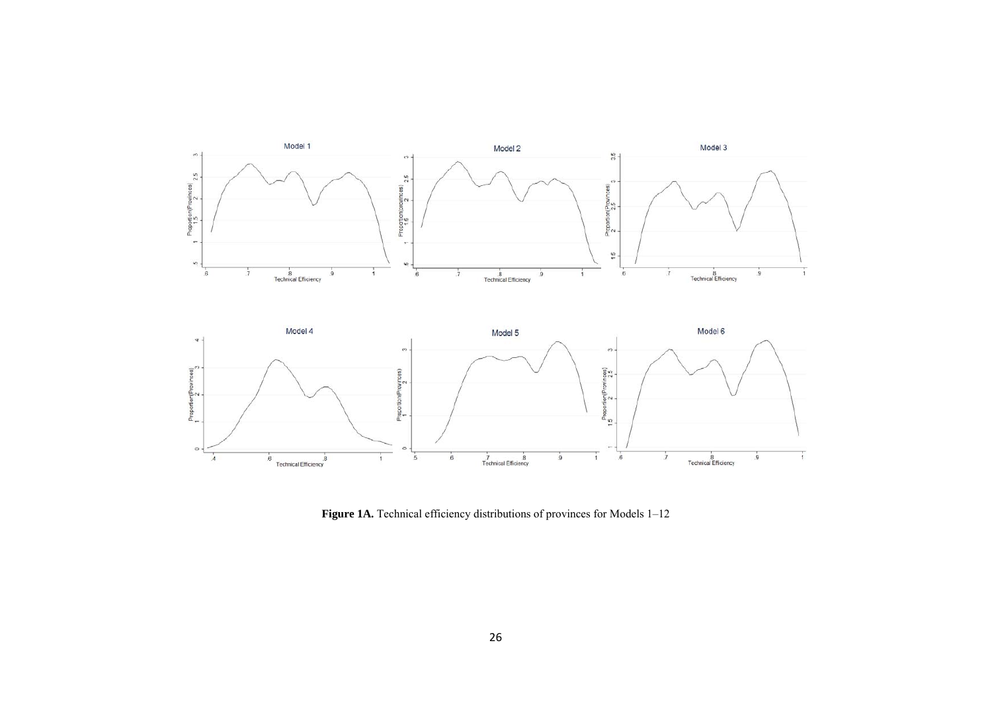

Figure 1A. Technical efficiency distributions of provinces for Models 1-12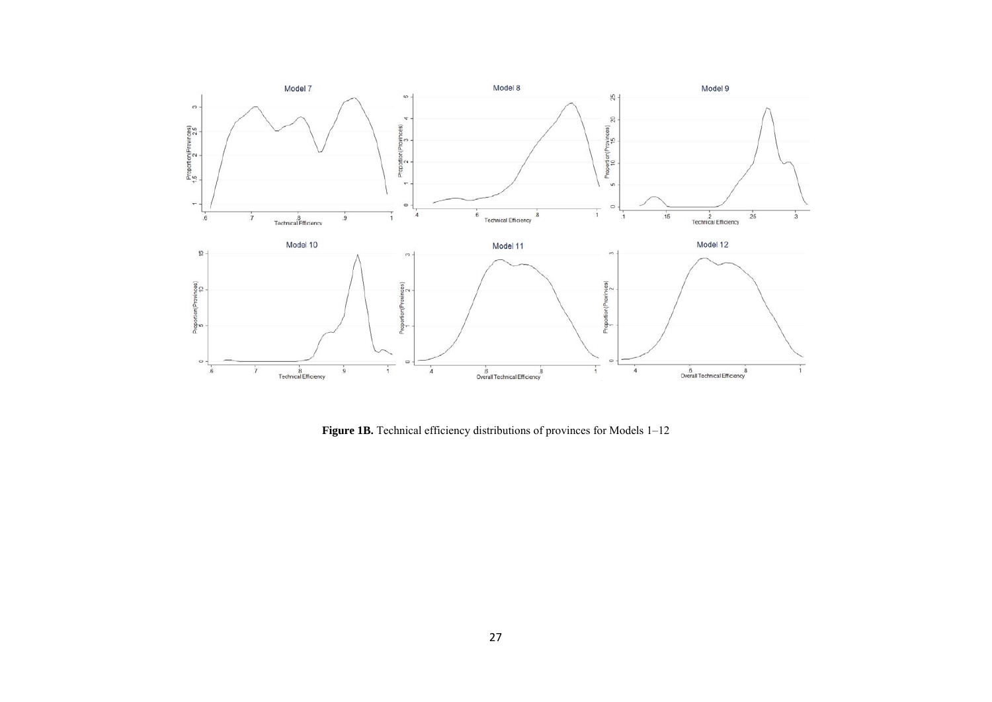

Figure 1B. Technical efficiency distributions of provinces for Models 1-12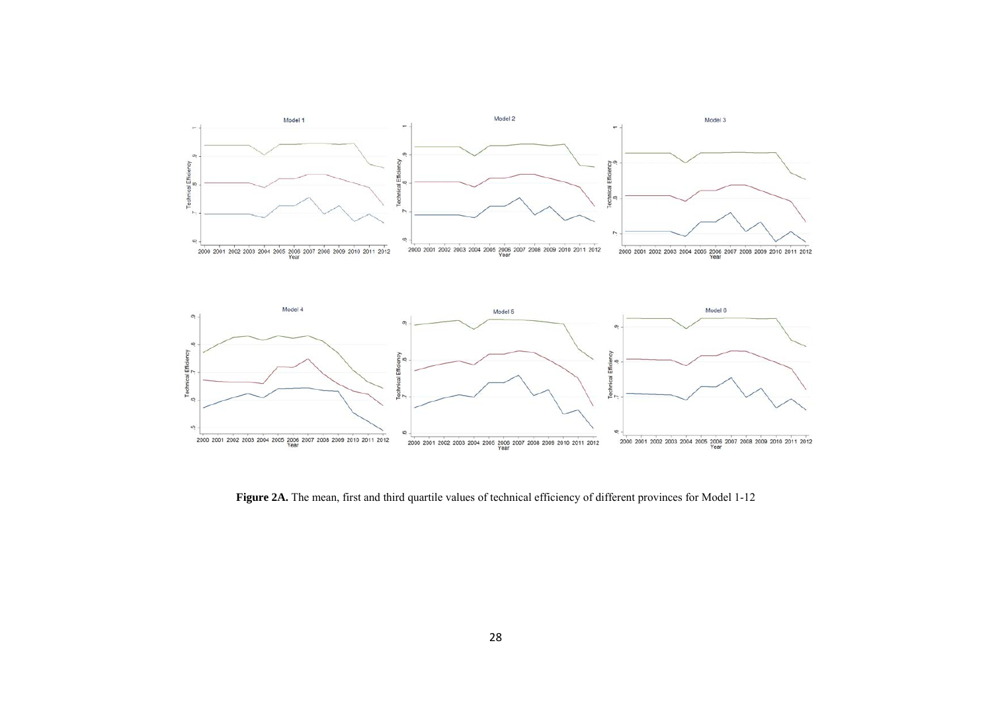

Figure 2A. The mean, first and third quartile values of technical efficiency of different provinces for Model 1-12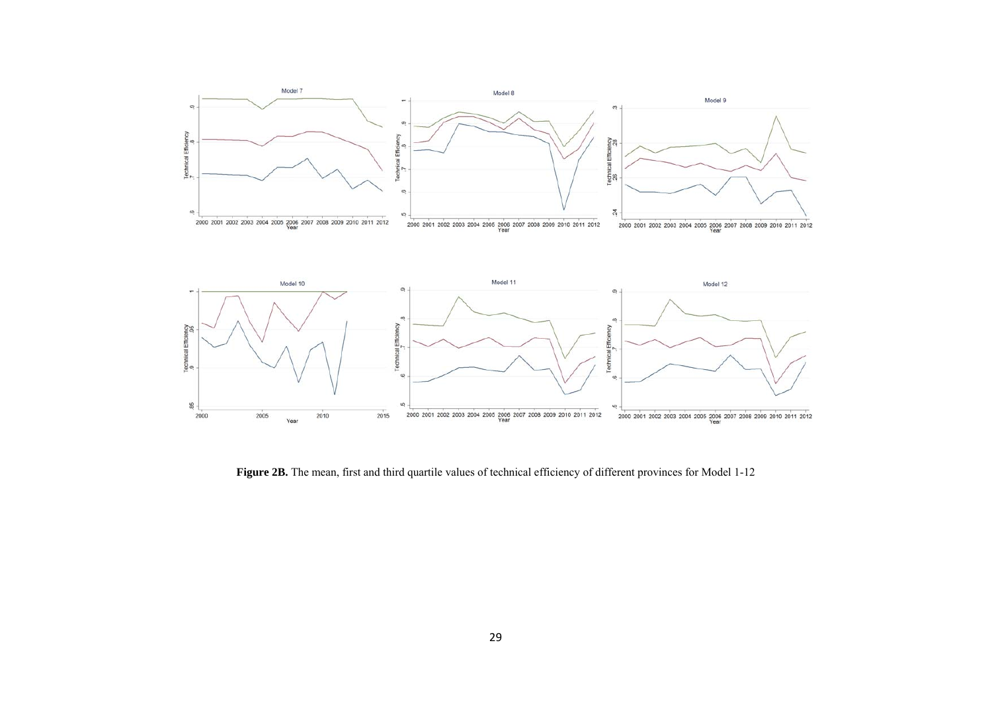

Figure 2B. The mean, first and third quartile values of technical efficiency of different provinces for Model 1-12

2000 2001 2002 2003 2004 2005 2006 2007 2008 2009 2010 2011 2012

2000 2001 2002 2003 2004 2005 2006 2007 2008 2009 2010 2011 2012

2015

2010

Year

2000

2005